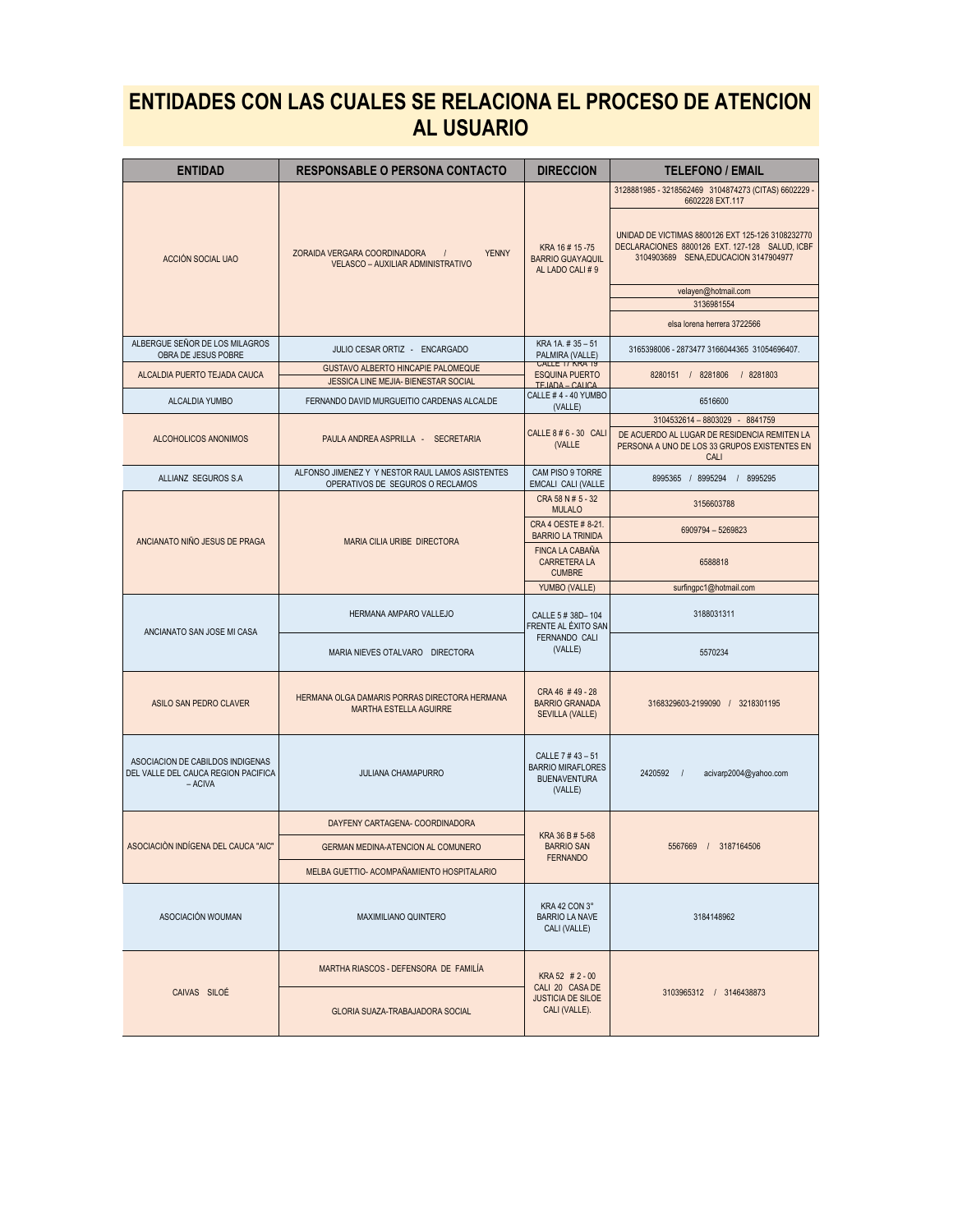## **ENTIDADES CON LAS CUALES SE RELACIONA EL PROCESO DE ATENCION AL USUARIO**

| <b>ENTIDAD</b>                                                                     | <b>RESPONSABLE O PERSONA CONTACTO</b>                                                              | <b>DIRECCION</b>                                                               | <b>TELEFONO / EMAIL</b>                                                                                                                      |
|------------------------------------------------------------------------------------|----------------------------------------------------------------------------------------------------|--------------------------------------------------------------------------------|----------------------------------------------------------------------------------------------------------------------------------------------|
|                                                                                    | <b>YENNY</b><br>ZORAIDA VERGARA COORDINADORA<br>$\frac{1}{2}$<br>VELASCO - AUXILIAR ADMINISTRATIVO | KRA 16# 15-75<br><b>BARRIO GUAYAQUIL</b><br>AL LADO CALI #9                    | 3128881985 - 3218562469 3104874273 (CITAS) 6602229 -<br>6602228 EXT.117                                                                      |
| ACCIÓN SOCIAL UAO                                                                  |                                                                                                    |                                                                                | UNIDAD DE VICTIMAS 8800126 EXT 125-126 3108232770<br>DECLARACIONES 8800126 EXT. 127-128 SALUD, ICBF<br>3104903689 SENA, EDUCACION 3147904977 |
|                                                                                    |                                                                                                    |                                                                                | velayen@hotmail.com<br>3136981554                                                                                                            |
|                                                                                    |                                                                                                    |                                                                                | elsa lorena herrera 3722566                                                                                                                  |
| ALBERGUE SEÑOR DE LOS MILAGROS<br>OBRA DE JESUS POBRE                              | JULIO CESAR ORTIZ - ENCARGADO                                                                      | KRA 1A. # 35 - 51<br>PALMIRA (VALLE)                                           | 3165398006 - 2873477 3166044365 31054696407.                                                                                                 |
| ALCALDIA PUERTO TEJADA CAUCA                                                       | GUSTAVO ALBERTO HINCAPIE PALOMEQUE<br>JESSICA LINE MEJIA- BIENESTAR SOCIAL                         | <b>UALLE 17 NRA 19</b><br><b>ESQUINA PUERTO</b>                                | 8280151 / 8281806 / 8281803                                                                                                                  |
| ALCALDIA YUMBO                                                                     | FERNANDO DAVID MURGUEITIO CARDENAS ALCALDE                                                         | TEJADA - CAUCA<br>CALLE #4 - 40 YUMBO<br>(VALLE)                               | 6516600                                                                                                                                      |
|                                                                                    |                                                                                                    |                                                                                | 3104532614 - 8803029 - 8841759                                                                                                               |
| ALCOHOLICOS ANONIMOS                                                               | PAULA ANDREA ASPRILLA - SECRETARIA                                                                 | CALLE 8 # 6 - 30 CALI<br>(VALLE                                                | DE ACUERDO AL LUGAR DE RESIDENCIA REMITEN LA<br>PERSONA A UNO DE LOS 33 GRUPOS EXISTENTES EN<br>CALI                                         |
| ALLIANZ SEGUROS S.A                                                                | ALFONSO JIMENEZ Y Y NESTOR RAUL LAMOS ASISTENTES<br>OPERATIVOS DE SEGUROS O RECLAMOS               | CAM PISO 9 TORRE<br>EMCALI CALI (VALLE                                         | 8995365 / 8995294 / 8995295                                                                                                                  |
|                                                                                    |                                                                                                    | CRA 58 N # 5 - 32<br><b>MULALO</b>                                             | 3156603788                                                                                                                                   |
|                                                                                    | MARIA CILIA URIBE DIRECTORA                                                                        | CRA 4 OESTE # 8-21<br><b>BARRIO LA TRINIDA</b>                                 | 6909794 - 5269823                                                                                                                            |
| ANCIANATO NIÑO JESUS DE PRAGA                                                      |                                                                                                    | <b>FINCA LA CABAÑA</b><br><b>CARRETERA LA</b><br><b>CUMBRE</b>                 | 6588818                                                                                                                                      |
|                                                                                    |                                                                                                    | YUMBO (VALLE)                                                                  | surfingpc1@hotmail.com                                                                                                                       |
| ANCIANATO SAN JOSE MI CASA                                                         | HERMANA AMPARO VALLEJO                                                                             | CALLE 5 # 38D-104<br>FRENTE AL ÉXITO SAN                                       | 3188031311                                                                                                                                   |
|                                                                                    | MARIA NIEVES OTALVARO DIRECTORA                                                                    | <b>FERNANDO CALI</b><br>(VALLE)                                                | 5570234                                                                                                                                      |
| ASILO SAN PEDRO CLAVER                                                             | HERMANA OLGA DAMARIS PORRAS DIRECTORA HERMANA<br><b>MARTHA ESTELLA AGUIRRE</b>                     | CRA 46 #49 - 28<br><b>BARRIO GRANADA</b><br><b>SEVILLA (VALLE)</b>             | 3168329603-2199090 / 3218301195                                                                                                              |
| ASOCIACION DE CABILDOS INDIGENAS<br>DEL VALLE DEL CAUCA REGION PACIFICA<br>- ACIVA | <b>JULIANA CHAMAPURRO</b>                                                                          | CALLE 7 #43 - 51<br><b>BARRIO MIRAFLORES</b><br><b>BUENAVENTURA</b><br>(VALLE) | 2420592 /<br>acivarp2004@yahoo.com                                                                                                           |
|                                                                                    | DAYFENY CARTAGENA- COORDINADORA                                                                    | KRA 36 B # 5-68                                                                |                                                                                                                                              |
| ASOCIACIÓN INDÍGENA DEL CAUCA "AIC"                                                | <b>GERMAN MEDINA-ATENCION AL COMUNERO</b>                                                          | <b>BARRIO SAN</b><br><b>FERNANDO</b>                                           | 5567669 / 3187164506                                                                                                                         |
|                                                                                    | MELBA GUETTIO- ACOMPAÑAMIENTO HOSPITALARIO                                                         |                                                                                |                                                                                                                                              |
| ASOCIACIÓN WOUMAN                                                                  | <b>MAXIMILIANO QUINTERO</b>                                                                        | KRA 42 CON 3°<br><b>BARRIO LA NAVE</b><br>CALI (VALLE)                         | 3184148962                                                                                                                                   |
|                                                                                    | MARTHA RIASCOS - DEFENSORA DE FAMILIA                                                              | KRA 52 # 2 - 00                                                                |                                                                                                                                              |
| CAIVAS SILOÉ                                                                       | GLORIA SUAZA-TRABAJADORA SOCIAL                                                                    | CALI 20 CASA DE<br><b>JUSTICIA DE SILOE</b><br>CALI (VALLE).                   | 3103965312 / 3146438873                                                                                                                      |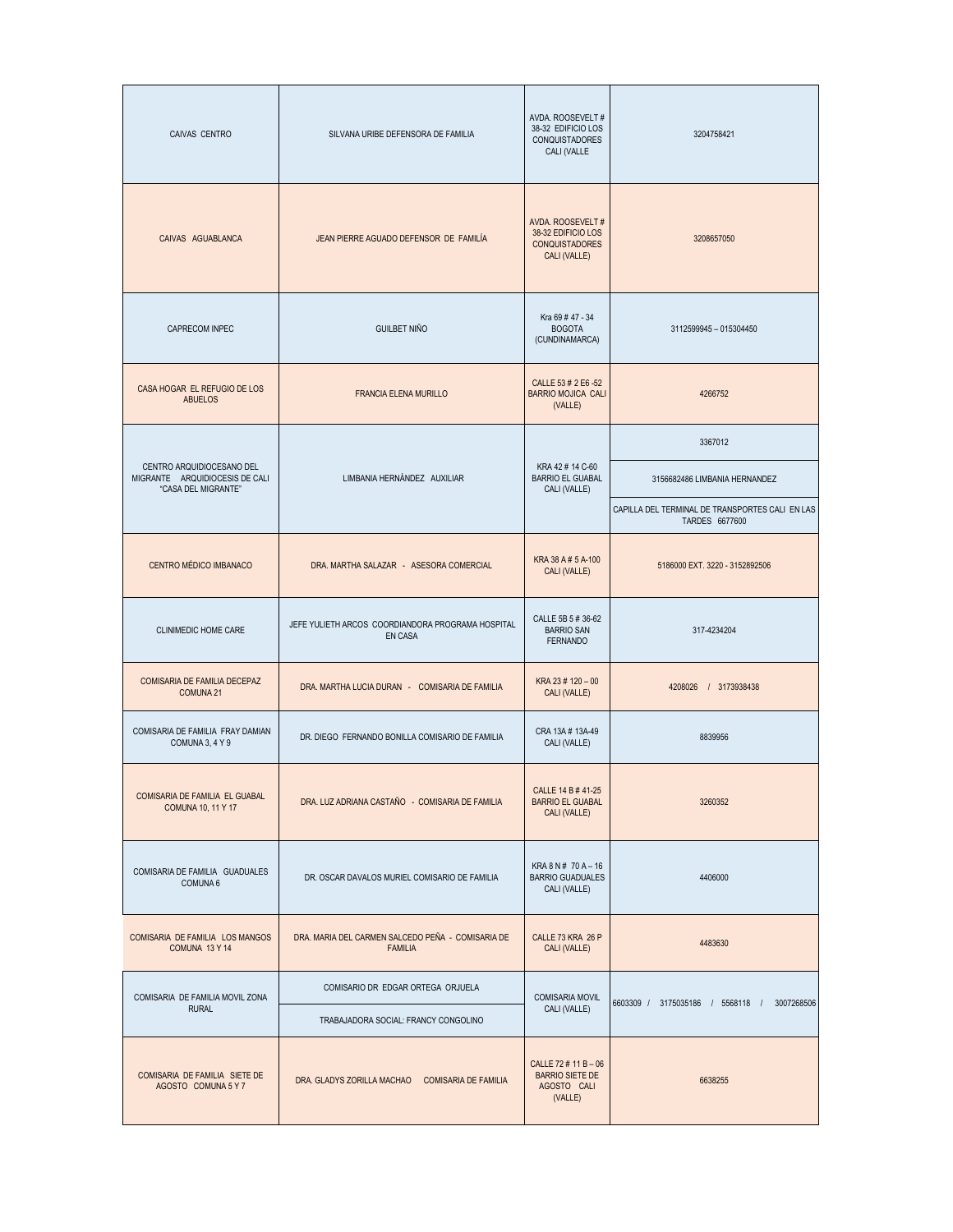| CAIVAS CENTRO                                                                      | SILVANA URIBE DEFENSORA DE FAMILIA                                  | AVDA. ROOSEVELT #<br>38-32 EDIFICIO LOS<br><b>CONQUISTADORES</b><br>CALI (VALLE  | 3204758421                                                        |
|------------------------------------------------------------------------------------|---------------------------------------------------------------------|----------------------------------------------------------------------------------|-------------------------------------------------------------------|
| CAIVAS AGUABLANCA                                                                  | JEAN PIERRE AGUADO DEFENSOR DE FAMILÍA                              | AVDA. ROOSEVELT #<br>38-32 EDIFICIO LOS<br><b>CONQUISTADORES</b><br>CALI (VALLE) | 3208657050                                                        |
| CAPRECOM INPEC                                                                     | <b>GUILBET NIÑO</b>                                                 | Kra 69 # 47 - 34<br><b>BOGOTA</b><br>(CUNDINAMARCA)                              | 3112599945 - 015304450                                            |
| CASA HOGAR EL REFUGIO DE LOS<br><b>ABUELOS</b>                                     | <b>FRANCIA ELENA MURILLO</b>                                        | CALLE 53 # 2 E6 -52<br><b>BARRIO MOJICA CALI</b><br>(VALLE)                      | 4266752                                                           |
|                                                                                    |                                                                     |                                                                                  | 3367012                                                           |
| CENTRO ARQUIDIOCESANO DEL<br>MIGRANTE ARQUIDIOCESIS DE CALI<br>"CASA DEL MIGRANTE" | LIMBANIA HERNÁNDEZ AUXILIAR                                         | KRA 42 # 14 C-60<br><b>BARRIO EL GUABAL</b><br>CALI (VALLE)                      | 3156682486 LIMBANIA HERNANDEZ                                     |
|                                                                                    |                                                                     |                                                                                  | CAPILLA DEL TERMINAL DE TRANSPORTES CALI EN LAS<br>TARDES 6677600 |
| CENTRO MÉDICO IMBANACO                                                             | DRA. MARTHA SALAZAR - ASESORA COMERCIAL                             | KRA 38 A # 5 A-100<br>CALI (VALLE)                                               | 5186000 EXT. 3220 - 3152892506                                    |
| <b>CLINIMEDIC HOME CARE</b>                                                        | JEFE YULIETH ARCOS COORDIANDORA PROGRAMA HOSPITAL<br><b>EN CASA</b> | CALLE 5B 5 # 36-62<br><b>BARRIO SAN</b><br><b>FERNANDO</b>                       | 317-4234204                                                       |
| COMISARIA DE FAMILIA DECEPAZ<br><b>COMUNA 21</b>                                   | DRA, MARTHA LUCIA DURAN - COMISARIA DE FAMILIA                      | KRA 23 # 120 - 00<br>CALI (VALLE)                                                | 4208026 / 3173938438                                              |
| COMISARIA DE FAMILIA FRAY DAMIAN<br>COMUNA 3, 4 Y 9                                | DR. DIEGO FERNANDO BONILLA COMISARIO DE FAMILIA                     | CRA 13A # 13A-49<br>CALI (VALLE)                                                 | 8839956                                                           |
| COMISARIA DE FAMILIA EL GUABAL<br><b>COMUNA 10, 11 Y 17</b>                        | DRA. LUZ ADRIANA CASTAÑO - COMISARIA DE FAMILIA                     | CALLE 14 B # 41-25<br><b>BARRIO EL GUABAL</b><br>CALI (VALLE)                    | 3260352                                                           |
| COMISARIA DE FAMILIA GUADUALES<br>COMUNA 6                                         | DR. OSCAR DAVALOS MURIEL COMISARIO DE FAMILIA                       | KRA 8 N # 70 A - 16<br><b>BARRIO GUADUALES</b><br>CALI (VALLE)                   | 4406000                                                           |
| COMISARIA DE FAMILIA LOS MANGOS<br>COMUNA 13 Y 14                                  | DRA. MARIA DEL CARMEN SALCEDO PEÑA - COMISARIA DE<br><b>FAMILIA</b> | CALLE 73 KRA 26 P<br>4483630<br>CALI (VALLE)                                     |                                                                   |
| COMISARIA DE FAMILIA MOVIL ZONA                                                    | COMISARIO DR EDGAR ORTEGA ORJUELA                                   | <b>COMISARIA MOVIL</b>                                                           | 6603309 / 3175035186 / 5568118 /<br>3007268506                    |
| <b>RURAL</b>                                                                       | TRABAJADORA SOCIAL: FRANCY CONGOLINO                                | CALI (VALLE)                                                                     |                                                                   |
| COMISARIA DE FAMILIA SIETE DE<br>AGOSTO COMUNA 5 Y 7                               | DRA. GLADYS ZORILLA MACHAO COMISARIA DE FAMILIA                     | CALLE 72 # 11 B - 06<br><b>BARRIO SIETE DE</b><br>AGOSTO CALI<br>(VALLE)         | 6638255                                                           |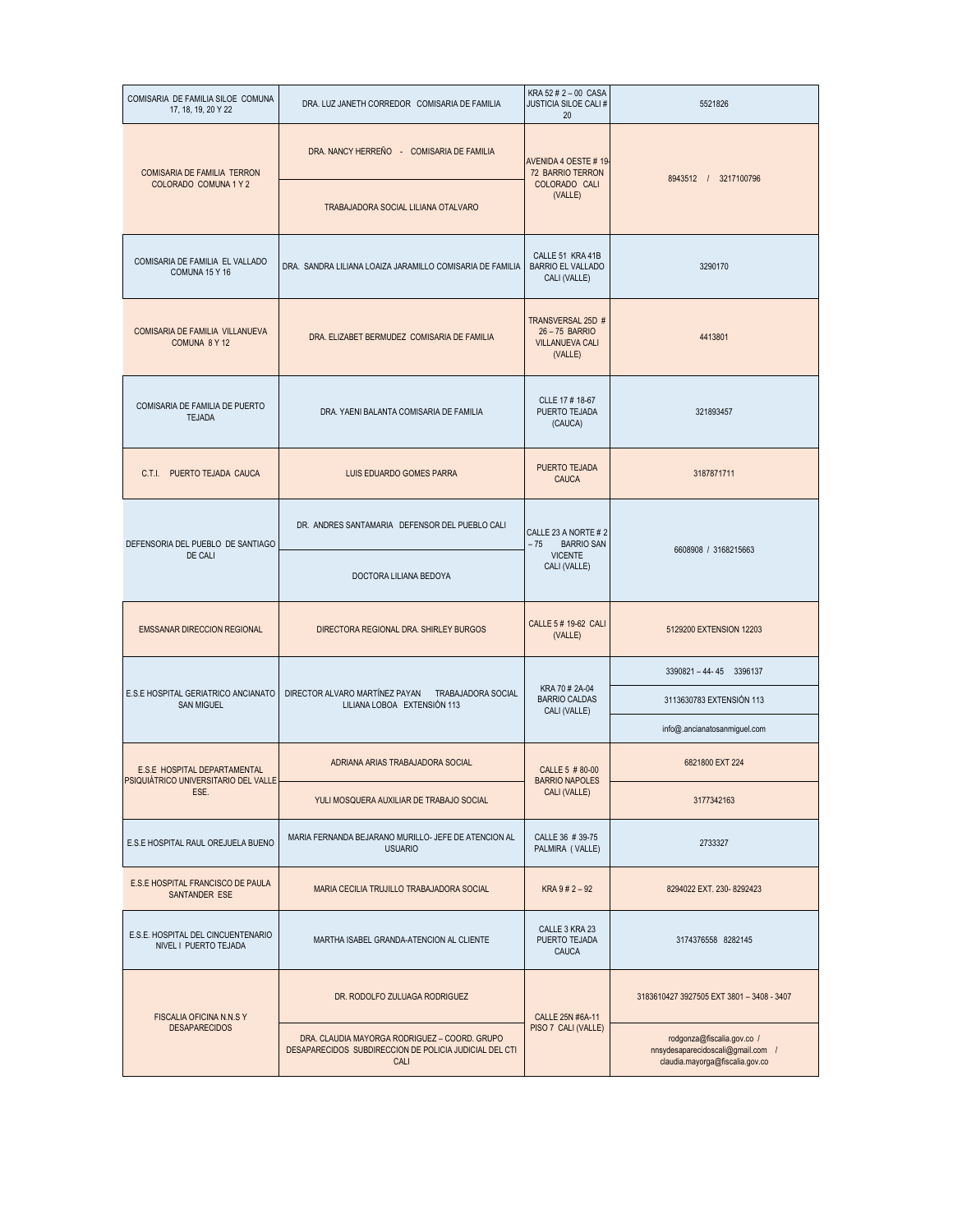| COMISARIA DE FAMILIA SILOE COMUNA<br>17, 18, 19, 20 Y 22            | DRA. LUZ JANETH CORREDOR COMISARIA DE FAMILIA                                                                   | KRA 52 # 2 - 00 CASA<br>JUSTICIA SILOE CALI #<br>20                    | 5521826                                                                                            |
|---------------------------------------------------------------------|-----------------------------------------------------------------------------------------------------------------|------------------------------------------------------------------------|----------------------------------------------------------------------------------------------------|
| COMISARIA DE FAMILIA TERRON                                         | DRA. NANCY HERREÑO - COMISARIA DE FAMILIA                                                                       | AVENIDA 4 OESTE #19-<br>72 BARRIO TERRON                               |                                                                                                    |
| COLORADO COMUNA 1 Y 2                                               | TRABAJADORA SOCIAL LILIANA OTALVARO                                                                             | COLORADO CALI<br>(VALLE)                                               | 8943512 / 3217100796                                                                               |
| COMISARIA DE FAMILIA EL VALLADO<br>COMUNA 15 Y 16                   | DRA. SANDRA LILIANA LOAIZA JARAMILLO COMISARIA DE FAMILIA                                                       | CALLE 51 KRA 41B<br><b>BARRIO EL VALLADO</b><br>CALI (VALLE)           | 3290170                                                                                            |
| COMISARIA DE FAMILIA VILLANUEVA<br>COMUNA 8 Y 12                    | DRA. ELIZABET BERMUDEZ COMISARIA DE FAMILIA                                                                     | TRANSVERSAL 25D #<br>26-75 BARRIO<br><b>VILLANUEVA CALI</b><br>(VALLE) | 4413801                                                                                            |
| COMISARIA DE FAMILIA DE PUERTO<br><b>TEJADA</b>                     | DRA. YAENI BALANTA COMISARIA DE FAMILIA                                                                         | CLLE 17 # 18-67<br>PUERTO TEJADA<br>(CAUCA)                            | 321893457                                                                                          |
| C.T.l.<br>PUERTO TEJADA CAUCA                                       | LUIS EDUARDO GOMES PARRA                                                                                        | PUERTO TEJADA<br><b>CAUCA</b>                                          | 3187871711                                                                                         |
| DEFENSORIA DEL PUEBLO DE SANTIAGO                                   | DR. ANDRES SANTAMARIA DEFENSOR DEL PUEBLO CALI                                                                  | CALLE 23 A NORTE # 2<br>$-75$<br><b>BARRIO SAN</b>                     |                                                                                                    |
| DE CALI                                                             | DOCTORA LILIANA BEDOYA                                                                                          | <b>VICENTE</b><br>CALI (VALLE)                                         | 6608908 / 3168215663                                                                               |
| <b>EMSSANAR DIRECCION REGIONAL</b>                                  | DIRECTORA REGIONAL DRA. SHIRLEY BURGOS                                                                          | CALLE 5 # 19-62 CALI<br>(VALLE)                                        | 5129200 EXTENSION 12203                                                                            |
|                                                                     | DIRECTOR ALVARO MARTÍNEZ PAYAN<br><b>TRABAJADORA SOCIAL</b><br>LILIANA LOBOA EXTENSIÓN 113                      | KRA 70 # 2A-04<br><b>BARRIO CALDAS</b><br>CALI (VALLE)                 | 3390821-44-45 3396137                                                                              |
| E.S.E HOSPITAL GERIATRICO ANCIANATO<br><b>SAN MIGUEL</b>            |                                                                                                                 |                                                                        | 3113630783 EXTENSIÓN 113                                                                           |
|                                                                     |                                                                                                                 |                                                                        | info@.ancianatosanmiguel.com                                                                       |
| E.S.E HOSPITAL DEPARTAMENTAL<br>SIQUIÁTRICO UNIVERSITARIO DEL VALLI | ADRIANA ARIAS TRABAJADORA SOCIAL                                                                                | CALLE 5 # 80-00<br><b>BARRIO NAPOLES</b>                               | 6821800 EXT 224                                                                                    |
| ESE.                                                                | YULI MOSQUERA AUXILIAR DE TRABAJO SOCIAL                                                                        | CALI (VALLE)                                                           | 3177342163                                                                                         |
| E.S.E HOSPITAL RAUL OREJUELA BUENO                                  | MARIA FERNANDA BEJARANO MURILLO- JEFE DE ATENCION AL<br><b>USUARIO</b>                                          | CALLE 36 # 39-75<br>PALMIRA (VALLE)                                    | 2733327                                                                                            |
| E.S.E HOSPITAL FRANCISCO DE PAULA<br>SANTANDER ESE                  | MARIA CECILIA TRUJILLO TRABAJADORA SOCIAL                                                                       | KRA 9 # 2 - 92                                                         | 8294022 EXT. 230-8292423                                                                           |
| E.S.E. HOSPITAL DEL CINCUENTENARIO<br>NIVEL I PUERTO TEJADA         | MARTHA ISABEL GRANDA-ATENCION AL CLIENTE                                                                        | CALLE 3 KRA 23<br>PUERTO TEJADA<br>CAUCA                               | 3174376558 8282145                                                                                 |
| FISCALIA OFICINA N.N.S Y                                            | DR. RODOLFO ZULUAGA RODRIGUEZ                                                                                   | CALLE 25N #6A-11                                                       | 3183610427 3927505 EXT 3801 - 3408 - 3407                                                          |
| <b>DESAPARECIDOS</b>                                                | DRA. CLAUDIA MAYORGA RODRIGUEZ - COORD. GRUPO<br>DESAPARECIDOS SUBDIRECCION DE POLICIA JUDICIAL DEL CTI<br>CALI | PISO 7 CALI (VALLE)                                                    | rodgonza@fiscalia.gov.co /<br>nnsydesaparecidoscali@gmail.com /<br>claudia.mayorga@fiscalia.gov.co |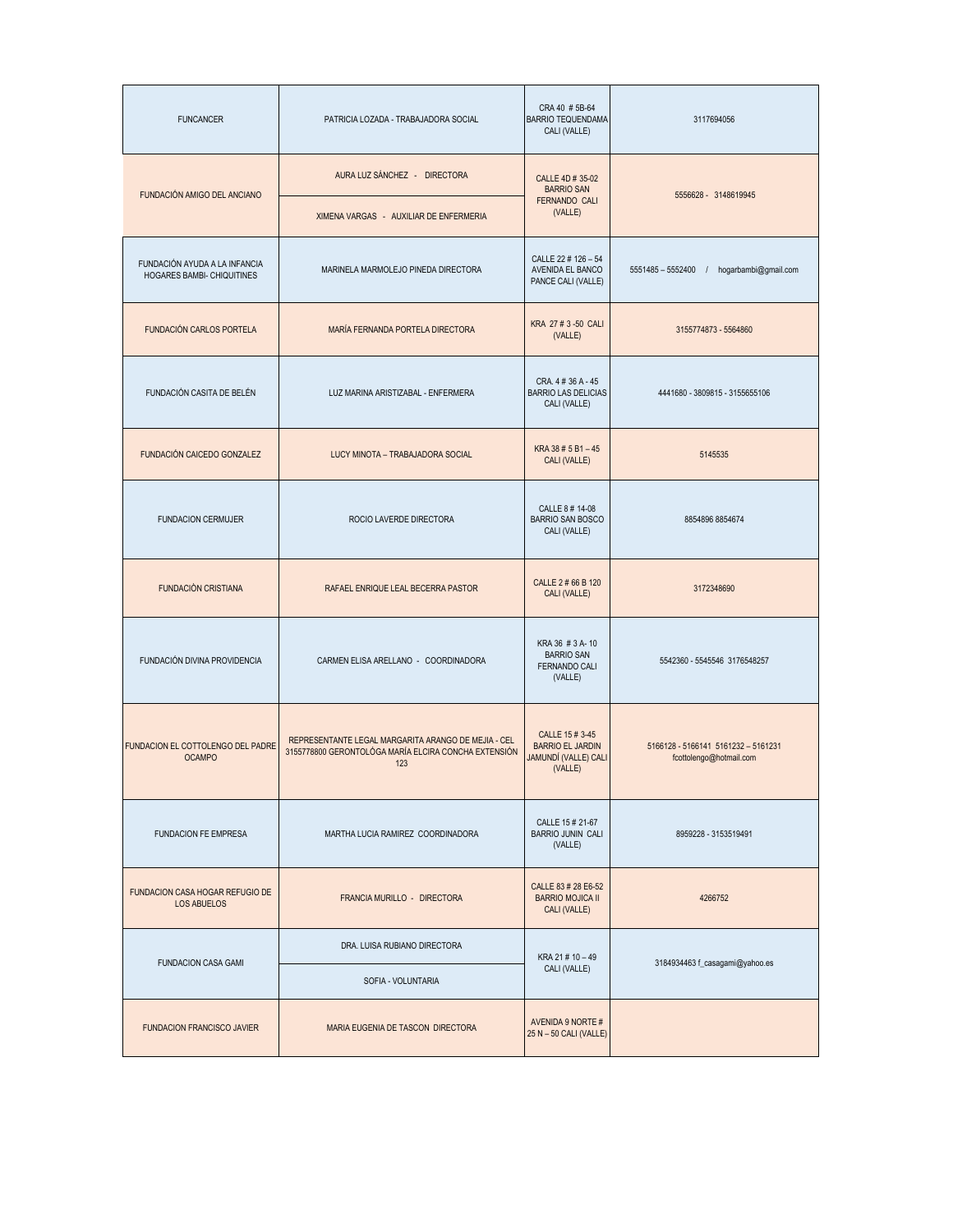| <b>FUNCANCER</b>                                            | PATRICIA LOZADA - TRABAJADORA SOCIAL                                                                               | CRA 40 # 5B-64<br><b>BARRIO TEQUENDAMA</b><br>CALI (VALLE)                    | 3117694056                                                     |
|-------------------------------------------------------------|--------------------------------------------------------------------------------------------------------------------|-------------------------------------------------------------------------------|----------------------------------------------------------------|
|                                                             | AURA LUZ SÁNCHEZ - DIRECTORA                                                                                       | CALLE 4D # 35-02<br><b>BARRIO SAN</b>                                         | 5556628 - 3148619945                                           |
| FUNDACIÓN AMIGO DEL ANCIANO                                 | XIMENA VARGAS - AUXILIAR DE ENFERMERIA                                                                             | FERNANDO CALI<br>(VALLE)                                                      |                                                                |
| FUNDACIÓN AYUDA A LA INFANCIA<br>HOGARES BAMBI- CHIQUITINES | MARINELA MARMOLEJO PINEDA DIRECTORA                                                                                | CALLE 22 # 126 - 54<br>AVENIDA EL BANCO<br>PANCE CALI (VALLE)                 | 5551485 - 5552400<br>hogarbambi@gmail.com<br>$\frac{1}{2}$     |
| FUNDACIÓN CARLOS PORTELA                                    | MARÍA FERNANDA PORTELA DIRECTORA                                                                                   | KRA 27 # 3 -50 CALI<br>(VALLE)                                                | 3155774873 - 5564860                                           |
| FUNDACIÓN CASITA DE BELÉN                                   | LUZ MARINA ARISTIZABAL - ENFERMERA                                                                                 | CRA. 4#36 A - 45<br><b>BARRIO LAS DELICIAS</b><br>CALI (VALLE)                | 4441680 - 3809815 - 3155655106                                 |
| FUNDACIÓN CAICEDO GONZALEZ                                  | LUCY MINOTA - TRABAJADORA SOCIAL                                                                                   | KRA 38 # 5 B1 - 45<br>CALI (VALLE)                                            | 5145535                                                        |
| <b>FUNDACION CERMUJER</b>                                   | ROCIO LAVERDE DIRECTORA                                                                                            | CALLE 8 # 14-08<br><b>BARRIO SAN BOSCO</b><br>CALI (VALLE)                    | 8854896 8854674                                                |
| <b>FUNDACIÓN CRISTIANA</b>                                  | RAFAEL ENRIQUE LEAL BECERRA PASTOR                                                                                 | CALLE 2 # 66 B 120<br>CALI (VALLE)                                            | 3172348690                                                     |
| FUNDACIÓN DIVINA PROVIDENCIA                                | CARMEN ELISA ARELLANO - COORDINADORA                                                                               | KRA 36 # 3 A-10<br><b>BARRIO SAN</b><br>FERNANDO CALI<br>(VALLE)              | 5542360 - 5545546 3176548257                                   |
| FUNDACION EL COTTOLENGO DEL PADRE<br><b>OCAMPO</b>          | REPRESENTANTE LEGAL MARGARITA ARANGO DE MEJIA - CEL<br>3155778800 GERONTOLÓGA MARÍA ELCIRA CONCHA EXTENSIÓN<br>123 | CALLE 15 # 3-45<br><b>BARRIO EL JARDIN</b><br>JAMUNDÍ (VALLE) CALI<br>(VALLE) | 5166128 - 5166141 5161232 - 5161231<br>fcottolengo@hotmail.com |
| <b>FUNDACION FE EMPRESA</b>                                 | MARTHA LUCIA RAMIREZ COORDINADORA                                                                                  | CALLE 15 # 21-67<br><b>BARRIO JUNIN CALI</b><br>(VALLE)                       | 8959228 - 3153519491                                           |
| FUNDACION CASA HOGAR REFUGIO DE<br><b>LOS ABUELOS</b>       | FRANCIA MURILLO - DIRECTORA                                                                                        | CALLE 83 # 28 E6-52<br><b>BARRIO MOJICA II</b><br>CALI (VALLE)                | 4266752                                                        |
| <b>FUNDACION CASA GAMI</b>                                  | DRA. LUISA RUBIANO DIRECTORA                                                                                       | KRA 21 # 10 - 49                                                              | 3184934463 f_casagami@yahoo.es                                 |
|                                                             | SOFIA - VOLUNTARIA                                                                                                 | CALI (VALLE)                                                                  |                                                                |
| <b>FUNDACION FRANCISCO JAVIER</b>                           | MARIA EUGENIA DE TASCON DIRECTORA                                                                                  | AVENIDA 9 NORTE #<br>25 N - 50 CALI (VALLE)                                   |                                                                |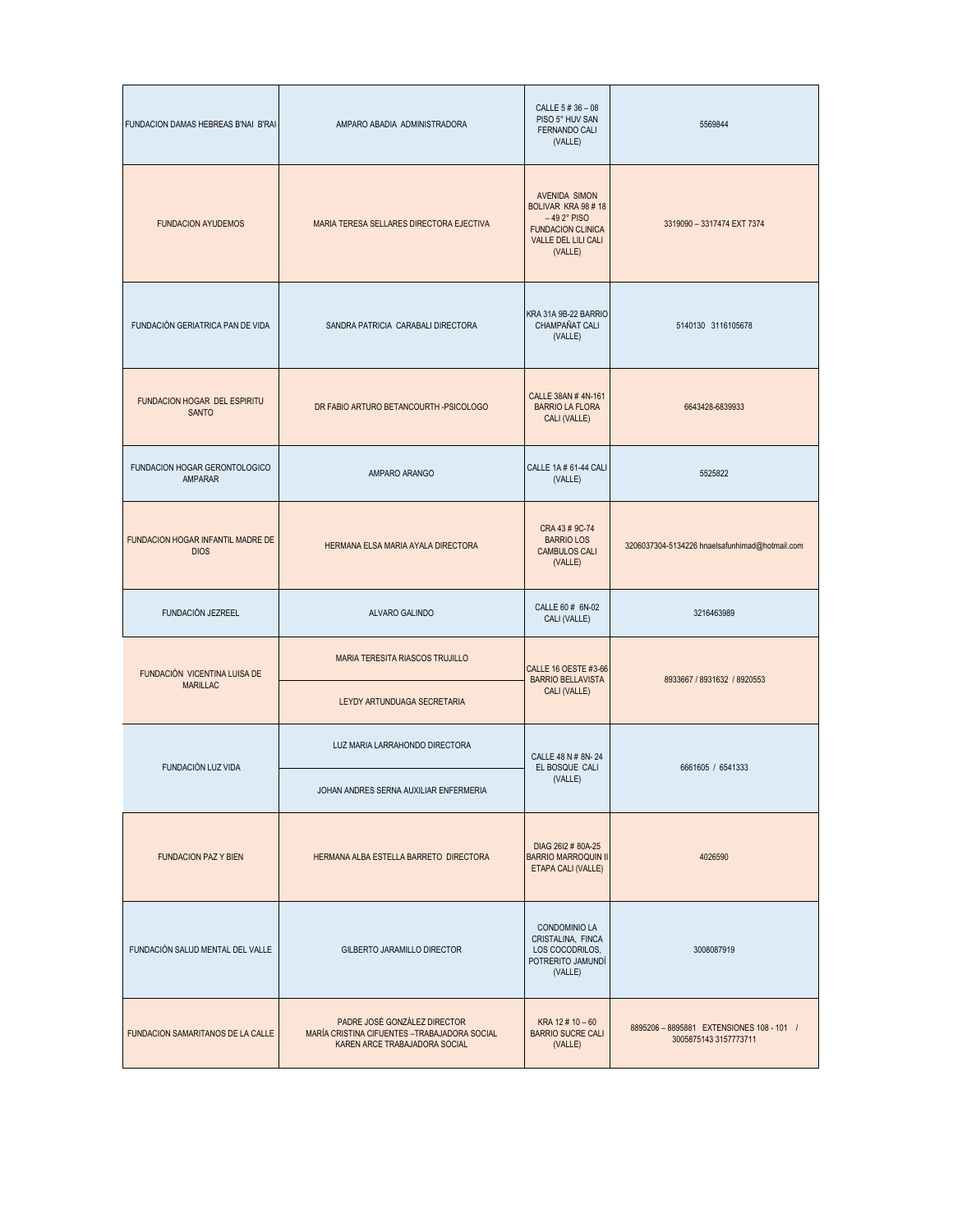| FUNDACION DAMAS HEBREAS B'NAI B'RAI              | AMPARO ABADIA ADMINISTRADORA                                                                                   | CALLE 5 # 36 - 08<br>PISO 5° HUV SAN<br>FERNANDO CALI<br>(VALLE)                                                          | 5569844                                                            |
|--------------------------------------------------|----------------------------------------------------------------------------------------------------------------|---------------------------------------------------------------------------------------------------------------------------|--------------------------------------------------------------------|
| <b>FUNDACION AYUDEMOS</b>                        | MARIA TERESA SELLARES DIRECTORA EJECTIVA                                                                       | <b>AVENIDA SIMON</b><br>BOLIVAR KRA 98 #18<br>$-492$ ° PISO<br><b>FUNDACION CLINICA</b><br>VALLE DEL LILI CALI<br>(VALLE) | 3319090 - 3317474 EXT 7374                                         |
| FUNDACIÓN GERIATRICA PAN DE VIDA                 | SANDRA PATRICIA CARABALI DIRECTORA                                                                             | KRA 31A 9B-22 BARRIO<br>CHAMPAÑAT CALI<br>(VALLE)                                                                         | 5140130 3116105678                                                 |
| FUNDACION HOGAR DEL ESPIRITU<br><b>SANTO</b>     | DR FABIO ARTURO BETANCOURTH -PSICOLOGO                                                                         | CALLE 38AN #4N-161<br><b>BARRIO LA FLORA</b><br>CALI (VALLE)                                                              | 6643428-6839933                                                    |
| FUNDACION HOGAR GERONTOLOGICO<br>AMPARAR         | AMPARO ARANGO                                                                                                  | CALLE 1A # 61-44 CALI<br>(VALLE)                                                                                          | 5525822                                                            |
| FUNDACION HOGAR INFANTIL MADRE DE<br><b>DIOS</b> | HERMANA ELSA MARIA AYALA DIRECTORA                                                                             | CRA 43 # 9C-74<br><b>BARRIO LOS</b><br><b>CAMBULOS CALI</b><br>(VALLE)                                                    | 3206037304-5134226 hnaelsafunhimad@hotmail.com                     |
| FUNDACIÓN JEZREEL                                | ALVARO GALINDO                                                                                                 | CALLE 60 # 6N-02<br>CALI (VALLE)                                                                                          | 3216463989                                                         |
| FUNDACIÓN VICENTINA LUISA DE<br><b>MARILLAC</b>  | MARIA TERESITA RIASCOS TRUJILLO                                                                                | CALLE 16 OESTE #3-66<br><b>BARRIO BELLAVISTA</b><br>CALI (VALLE)                                                          | 8933667 / 8931632 / 8920553                                        |
|                                                  | LEYDY ARTUNDUAGA SECRETARIA                                                                                    |                                                                                                                           |                                                                    |
| FUNDACIÓN LUZ VIDA                               | LUZ MARIA LARRAHONDO DIRECTORA                                                                                 | CALLE 48 N # 8N-24<br>EL BOSQUE CALI                                                                                      | 6661605 / 6541333                                                  |
|                                                  | JOHAN ANDRES SERNA AUXILIAR ENFERMERIA                                                                         | (VALLE)                                                                                                                   |                                                                    |
| <b>FUNDACION PAZ Y BIEN</b>                      | HERMANA ALBA ESTELLA BARRETO DIRECTORA                                                                         | DIAG 26I2 # 80A-25<br><b>BARRIO MARROQUIN II</b><br>ETAPA CALI (VALLE)                                                    | 4026590                                                            |
| FUNDACIÓN SALUD MENTAL DEL VALLE                 | GILBERTO JARAMILLO DIRECTOR                                                                                    | <b>CONDOMINIO LA</b><br>CRISTALINA, FINCA<br>LOS COCODRILOS,<br>POTRERITO JAMUNDÍ<br>(VALLE)                              | 3008087919                                                         |
| FUNDACION SAMARITANOS DE LA CALLE                | PADRE JOSÉ GONZÁLEZ DIRECTOR<br>MARÍA CRISTINA CIFUENTES - TRABAJADORA SOCIAL<br>KAREN ARCE TRABAJADORA SOCIAL | KRA 12 $\#$ 10 $-60$<br><b>BARRIO SUCRE CALI</b><br>(VALLE)                                                               | 8895206 - 8895881 EXTENSIONES 108 - 101 /<br>3005875143 3157773711 |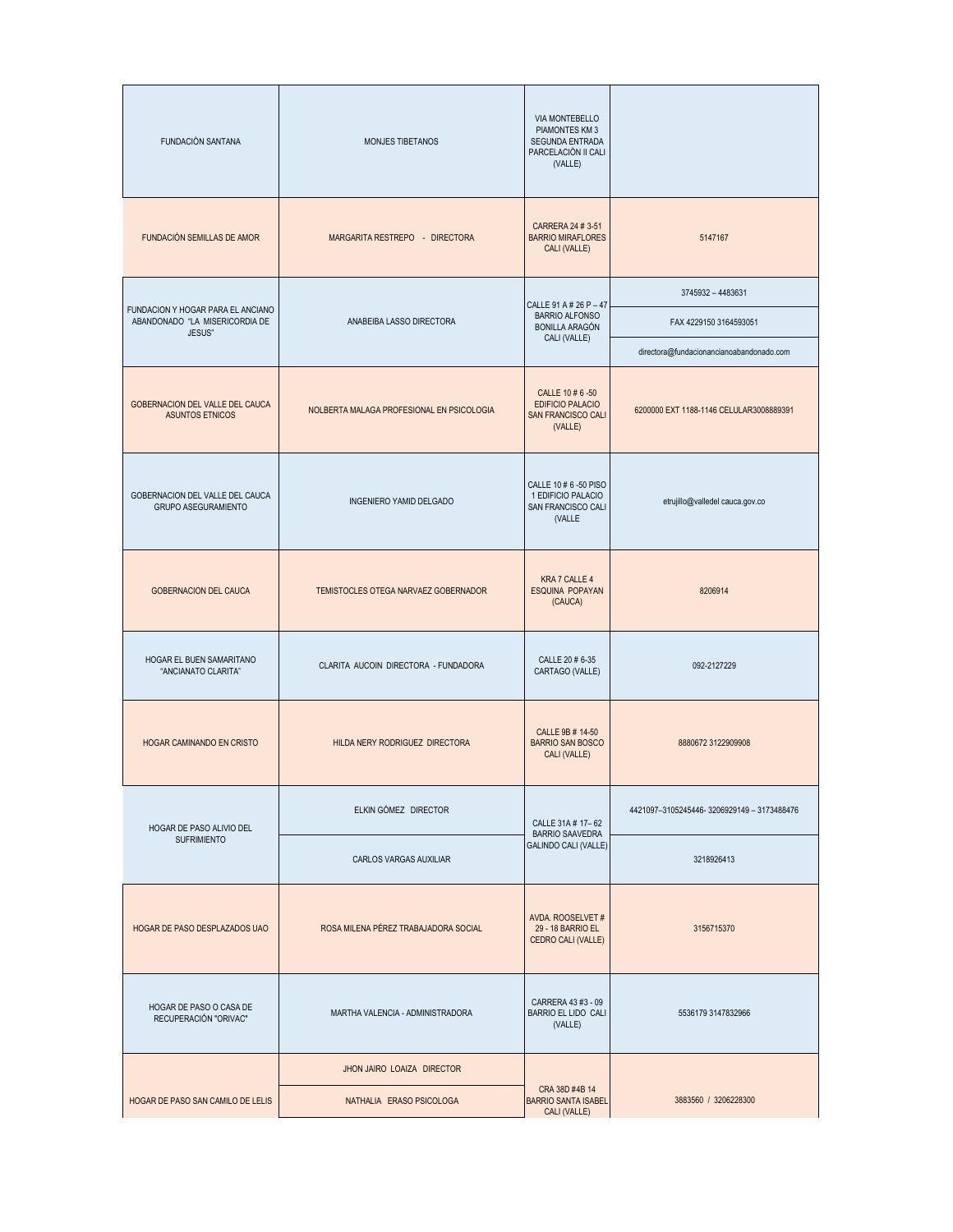| FUNDACIÓN SANTANA                                                             | MONJES TIBETANOS                          | VIA MONTEBELLO<br>PIAMONTES KM 3<br>SEGUNDA ENTRADA<br>PARCELACIÓN II CALI<br>(VALLE) |                                          |
|-------------------------------------------------------------------------------|-------------------------------------------|---------------------------------------------------------------------------------------|------------------------------------------|
| FUNDACIÓN SEMILLAS DE AMOR                                                    | MARGARITA RESTREPO - DIRECTORA            | CARRERA 24 # 3-51<br><b>BARRIO MIRAFLORES</b><br>CALI (VALLE)                         | 5147167                                  |
|                                                                               |                                           | CALLE 91 A # 26 P - 47                                                                | 3745932 - 4483631                        |
| FUNDACION Y HOGAR PARA EL ANCIANO<br>ABANDONADO "LA MISERICORDIA DE<br>JESUS" | ANABEIBA LASSO DIRECTORA                  | <b>BARRIO ALFONSO</b><br><b>BONILLA ARAGÓN</b><br>CALI (VALLE)                        | FAX 4229150 3164593051                   |
|                                                                               |                                           |                                                                                       | directora@fundacionancianoabandonado.com |
| GOBERNACION DEL VALLE DEL CAUCA<br><b>ASUNTOS ETNICOS</b>                     | NOLBERTA MALAGA PROFESIONAL EN PSICOLOGIA | CALLE 10 # 6 -50<br><b>EDIFICIO PALACIO</b><br>SAN FRANCISCO CALI<br>(VALLE)          | 6200000 EXT 1188-1146 CELULAR3008889391  |
| GOBERNACION DEL VALLE DEL CAUCA<br>GRUPO ASEGURAMIENTO                        | <b>INGENIERO YAMID DELGADO</b>            | CALLE 10 # 6 -50 PISO<br>1 EDIFICIO PALACIO<br>SAN FRANCISCO CALI<br>(VALLE           | etrujillo@valledel cauca.gov.co          |
| GOBERNACION DEL CAUCA                                                         | TEMISTOCLES OTEGA NARVAEZ GOBERNADOR      | KRA 7 CALLE 4<br>ESQUINA POPAYAN<br>(CAUCA)                                           | 8206914                                  |
| HOGAR EL BUEN SAMARITANO<br>"ANCIANATO CLARITA"                               | CLARITA AUCOIN DIRECTORA - FUNDADORA      | CALLE 20 # 6-35<br>CARTAGO (VALLE)                                                    | 092-2127229                              |
| HOGAR CAMINANDO EN CRISTO                                                     | HILDA NERY RODRIGUEZ DIRECTORA            | CALLE 9B # 14-50<br><b>BARRIO SAN BOSCO</b><br>CALI (VALLE)                           | 8880672 3122909908                       |
| HOGAR DE PASO ALIVIO DEL                                                      | ELKIN GÓMEZ DIRECTOR                      | CALLE 31A # 17-62                                                                     | 4421097-3105245446-3206929149-3173488476 |
| <b>SUFRIMIENTO</b>                                                            | CARLOS VARGAS AUXILIAR                    | <b>BARRIO SAAVEDRA</b><br>GALINDO CALI (VALLE)                                        | 3218926413                               |
| HOGAR DE PASO DESPLAZADOS UAO                                                 | ROSA MILENA PÉREZ TRABAJADORA SOCIAL      | AVDA. ROOSELVET #<br>29 - 18 BARRIO EL<br>CEDRO CALI (VALLE)                          | 3156715370                               |
| HOGAR DE PASO O CASA DE<br>RECUPERACIÓN "ORIVAC"                              | MARTHA VALENCIA - ADMINISTRADORA          | CARRERA 43 #3 - 09<br>BARRIO EL LIDO CALI<br>(VALLE)                                  | 5536179 3147832966                       |
|                                                                               | JHON JAIRO LOAIZA DIRECTOR                |                                                                                       |                                          |
| HOGAR DE PASO SAN CAMILO DE LELIS                                             | NATHALIA ERASO PSICOLOGA                  | CRA 38D #4B 14<br><b>BARRIO SANTA ISABEL</b><br>CALI (VALLE)                          | 3883560 / 3206228300                     |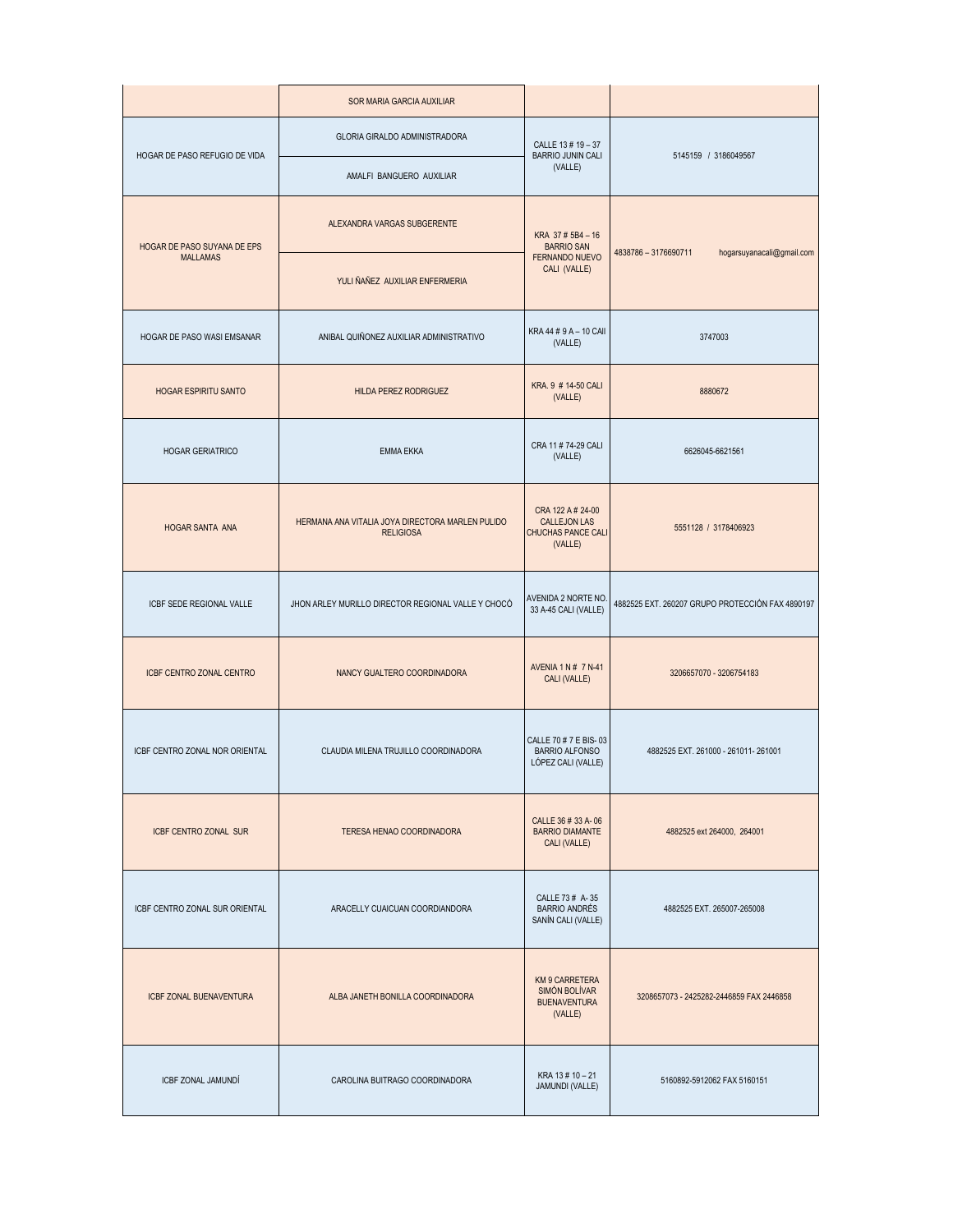|                                | SOR MARIA GARCIA AUXILIAR                                            |                                                                           |                                                   |  |
|--------------------------------|----------------------------------------------------------------------|---------------------------------------------------------------------------|---------------------------------------------------|--|
| HOGAR DE PASO REFUGIO DE VIDA  | GLORIA GIRALDO ADMINISTRADORA                                        | CALLE 13 # 19 - 37<br><b>BARRIO JUNIN CALI</b>                            | 5145159 / 3186049567                              |  |
|                                | AMALFI BANGUERO AUXILIAR                                             | (VALLE)                                                                   |                                                   |  |
| HOGAR DE PASO SUYANA DE EPS    | ALEXANDRA VARGAS SUBGERENTE                                          | KRA 37 # 5B4 - 16<br><b>BARRIO SAN</b>                                    | 4838786 - 3176690711<br>hogarsuyanacali@gmail.com |  |
| <b>MALLAMAS</b>                | YULI ÑAÑEZ AUXILIAR ENFERMERIA                                       | FERNANDO NUEVO<br>CALI (VALLE)                                            |                                                   |  |
| HOGAR DE PASO WASI EMSANAR     | ANIBAL QUIÑONEZ AUXILIAR ADMINISTRATIVO                              | KRA 44 # 9 A - 10 CAII<br>(VALLE)                                         | 3747003                                           |  |
| <b>HOGAR ESPIRITU SANTO</b>    | <b>HILDA PEREZ RODRIGUEZ</b>                                         | KRA. 9 # 14-50 CALI<br>(VALLE)                                            | 8880672                                           |  |
| HOGAR GERIATRICO               | <b>EMMA EKKA</b>                                                     | CRA 11 # 74-29 CALI<br>(VALLE)                                            | 6626045-6621561                                   |  |
| HOGAR SANTA ANA                | HERMANA ANA VITALIA JOYA DIRECTORA MARLEN PULIDO<br><b>RELIGIOSA</b> | CRA 122 A # 24-00<br><b>CALLEJON LAS</b><br>CHUCHAS PANCE CALI<br>(VALLE) | 5551128 / 3178406923                              |  |
| ICBF SEDE REGIONAL VALLE       | JHON ARLEY MURILLO DIRECTOR REGIONAL VALLE Y CHOCÓ                   | AVENIDA 2 NORTE NO.<br>33 A-45 CALI (VALLE)                               | 4882525 EXT. 260207 GRUPO PROTECCIÓN FAX 4890197  |  |
| ICBF CENTRO ZONAL CENTRO       | NANCY GUALTERO COORDINADORA                                          | AVENIA 1 N # 7 N-41<br>CALI (VALLE)                                       | 3206657070 - 3206754183                           |  |
| ICBF CENTRO ZONAL NOR ORIENTAL | CLAUDIA MILENA TRUJILLO COORDINADORA                                 | CALLE 70 # 7 E BIS-03<br><b>BARRIO ALFONSO</b><br>LÓPEZ CALI (VALLE)      | 4882525 EXT. 261000 - 261011-261001               |  |
| <b>ICBF CENTRO ZONAL SUR</b>   | TERESA HENAO COORDINADORA                                            | CALLE 36 # 33 A-06<br><b>BARRIO DIAMANTE</b><br>CALI (VALLE)              | 4882525 ext 264000, 264001                        |  |
| ICBF CENTRO ZONAL SUR ORIENTAL | ARACELLY CUAICUAN COORDIANDORA                                       | CALLE 73 # A-35<br><b>BARRIO ANDRÉS</b><br>SANÍN CALI (VALLE)             | 4882525 EXT. 265007-265008                        |  |
| ICBF ZONAL BUENAVENTURA        | ALBA JANETH BONILLA COORDINADORA                                     | KM 9 CARRETERA<br>SIMÓN BOLÍVAR<br><b>BUENAVENTURA</b><br>(VALLE)         | 3208657073 - 2425282-2446859 FAX 2446858          |  |
| <b>ICBF ZONAL JAMUNDÍ</b>      | CAROLINA BUITRAGO COORDINADORA                                       | KRA 13 # 10 - 21<br>JAMUNDI (VALLE)                                       | 5160892-5912062 FAX 5160151                       |  |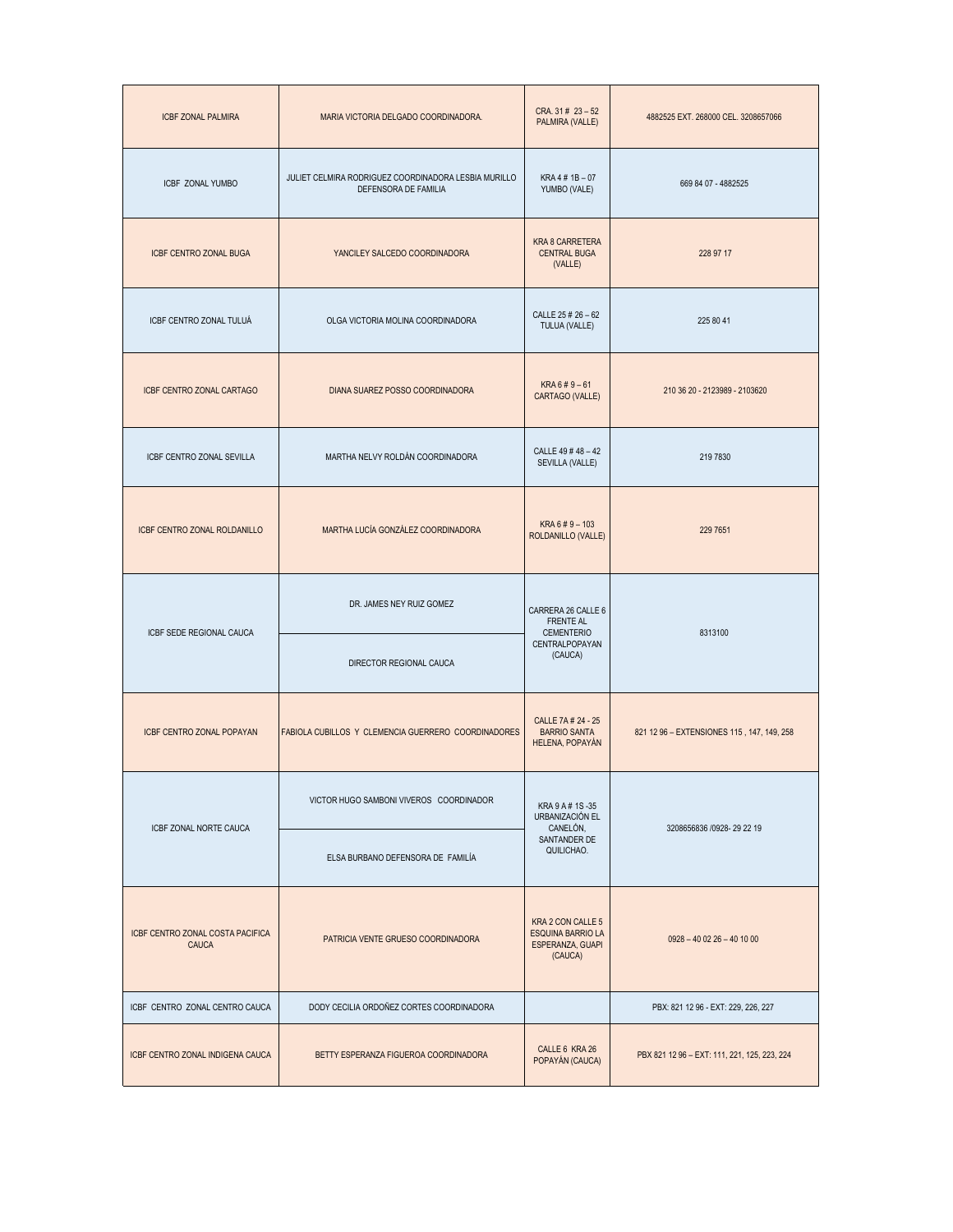| <b>ICBF ZONAL PALMIRA</b>                 | MARIA VICTORIA DELGADO COORDINADORA.                                         | CRA. $31 \# 23 - 52$<br>PALMIRA (VALLE)                                      | 4882525 EXT. 268000 CEL. 3208657066          |
|-------------------------------------------|------------------------------------------------------------------------------|------------------------------------------------------------------------------|----------------------------------------------|
| <b>ICBF ZONAL YUMBO</b>                   | JULIET CELMIRA RODRIGUEZ COORDINADORA LESBIA MURILLO<br>DEFENSORA DE FAMILIA | KRA 4 # 1B - 07<br>YUMBO (VALE)                                              | 669 84 07 - 4882525                          |
| <b>ICBF CENTRO ZONAL BUGA</b>             | YANCILEY SALCEDO COORDINADORA                                                | <b>KRA 8 CARRETERA</b><br><b>CENTRAL BUGA</b><br>(VALLE)                     | 228 97 17                                    |
| ICBF CENTRO ZONAL TULUÁ                   | OLGA VICTORIA MOLINA COORDINADORA                                            | CALLE 25 # 26 - 62<br>TULUA (VALLE)                                          | 225 80 41                                    |
| ICBF CENTRO ZONAL CARTAGO                 | DIANA SUAREZ POSSO COORDINADORA                                              | $KRA 6 # 9 - 61$<br>CARTAGO (VALLE)                                          | 210 36 20 - 2123989 - 2103620                |
| ICBF CENTRO ZONAL SEVILLA                 | MARTHA NELVY ROLDÁN COORDINADORA                                             | CALLE 49 #48 -42<br>SEVILLA (VALLE)                                          | 219 7830                                     |
| <b>ICBF CENTRO ZONAL ROLDANILLO</b>       | MARTHA LUCÍA GONZÁLEZ COORDINADORA                                           | KRA 6 # 9 - 103<br>ROLDANILLO (VALLE)                                        | 229 7651                                     |
| ICBF SEDE REGIONAL CAUCA                  | DR. JAMES NEY RUIZ GOMEZ                                                     | CARRERA 26 CALLE 6<br><b>FRENTE AL</b><br><b>CEMENTERIO</b>                  | 8313100                                      |
|                                           | DIRECTOR REGIONAL CAUCA                                                      | CENTRALPOPAYAN<br>(CAUCA)                                                    |                                              |
| ICBF CENTRO ZONAL POPAYAN                 | FABIOLA CUBILLOS Y CLEMENCIA GUERRERO COORDINADORES                          | CALLE 7A # 24 - 25<br><b>BARRIO SANTA</b><br>HELENA, POPAYÁN                 | 821 12 96 - EXTENSIONES 115, 147, 149, 258   |
| ICBF ZONAL NORTE CAUCA                    | VICTOR HUGO SAMBONI VIVEROS COORDINADOR                                      | KRA 9 A # 1S -35<br>URBANIZACIÓN EL<br>CANELÓN,                              | 3208656836 /0928-29 22 19                    |
|                                           | ELSA BURBANO DEFENSORA DE FAMILÍA                                            | SANTANDER DE<br>QUILICHAO.                                                   |                                              |
| ICBF CENTRO ZONAL COSTA PACIFICA<br>CAUCA | PATRICIA VENTE GRUESO COORDINADORA                                           | KRA 2 CON CALLE 5<br><b>ESQUINA BARRIO LA</b><br>ESPERANZA, GUAPI<br>(CAUCA) | $0928 - 400226 - 401000$                     |
| ICBF CENTRO ZONAL CENTRO CAUCA            | DODY CECILIA ORDOÑEZ CORTES COORDINADORA                                     |                                                                              | PBX: 821 12 96 - EXT: 229, 226, 227          |
| ICBF CENTRO ZONAL INDIGENA CAUCA          | BETTY ESPERANZA FIGUEROA COORDINADORA                                        | CALLE 6 KRA 26<br>POPAYÁN (CAUCA)                                            | PBX 821 12 96 - EXT: 111, 221, 125, 223, 224 |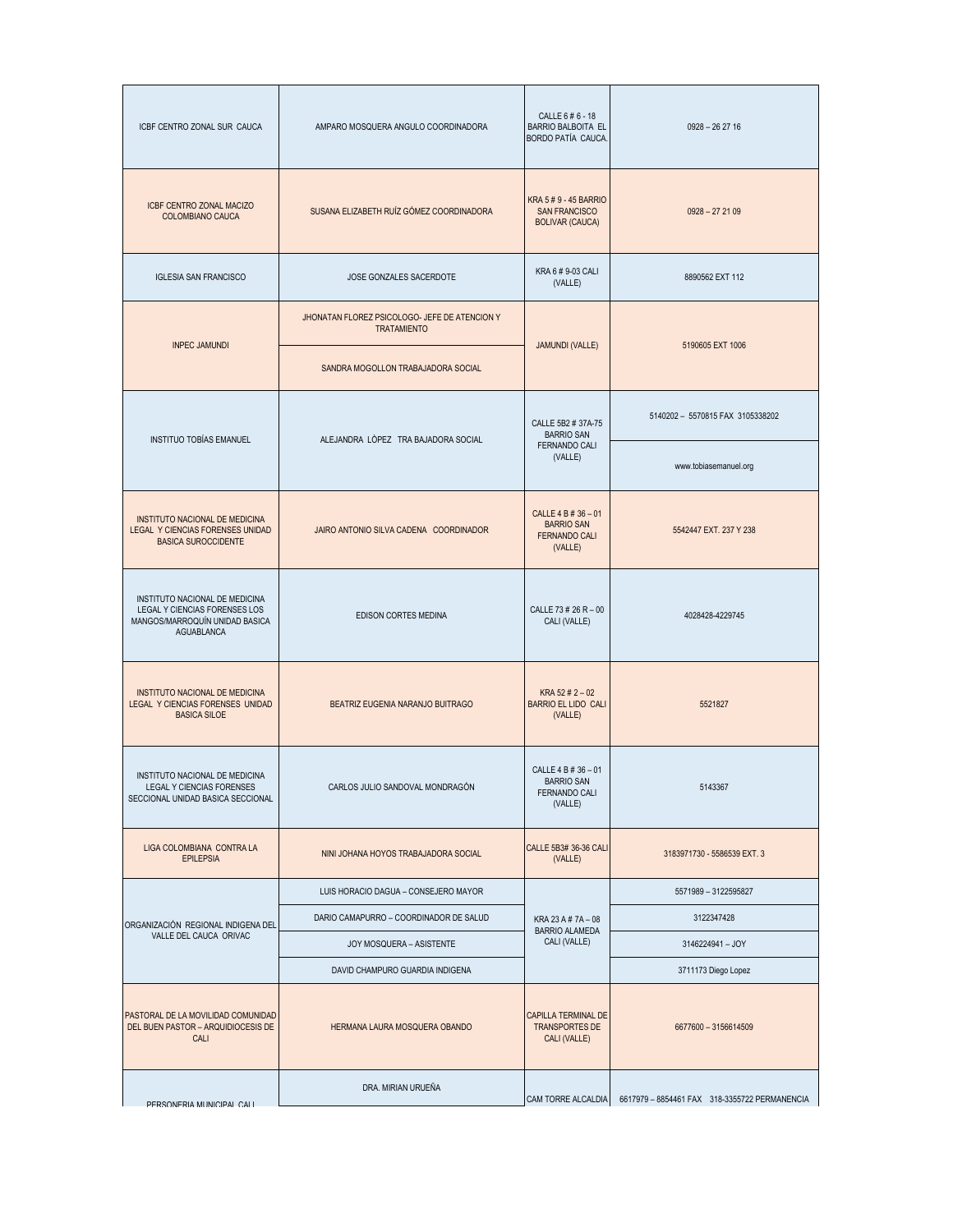| ICBF CENTRO ZONAL SUR CAUCA                                                                                            | AMPARO MOSQUERA ANGULO COORDINADORA                                 | CALLE 6 # 6 - 18<br><b>BARRIO BALBOITA EL</b><br>BORDO PATÍA CAUCA.         | $0928 - 262716$                                                  |
|------------------------------------------------------------------------------------------------------------------------|---------------------------------------------------------------------|-----------------------------------------------------------------------------|------------------------------------------------------------------|
| ICBF CENTRO ZONAL MACIZO<br>COLOMBIANO CAUCA                                                                           | SUSANA ELIZABETH RUÍZ GÓMEZ COORDINADORA                            | KRA 5 # 9 - 45 BARRIO<br><b>SAN FRANCISCO</b><br><b>BOLIVAR (CAUCA)</b>     | $0928 - 272109$                                                  |
| <b>IGLESIA SAN FRANCISCO</b>                                                                                           | JOSE GONZALES SACERDOTE                                             | KRA 6 # 9-03 CALI<br>(VALLE)                                                | 8890562 EXT 112                                                  |
|                                                                                                                        | JHONATAN FLOREZ PSICOLOGO- JEFE DE ATENCION Y<br><b>TRATAMIENTO</b> |                                                                             |                                                                  |
| <b>INPEC JAMUNDI</b>                                                                                                   | SANDRA MOGOLLON TRABAJADORA SOCIAL                                  | <b>JAMUNDI (VALLE)</b>                                                      | 5190605 EXT 1006                                                 |
| INSTITUO TOBÍAS EMANUEL                                                                                                | ALEJANDRA LÒPEZ TRA BAJADORA SOCIAL                                 | CALLE 5B2 # 37A-75<br><b>BARRIO SAN</b>                                     | 5140202 - 5570815 FAX 3105338202                                 |
|                                                                                                                        |                                                                     | <b>FERNANDO CALI</b><br>(VALLE)                                             | www.tobiasemanuel.org                                            |
| INSTITUTO NACIONAL DE MEDICINA<br>LEGAL Y CIENCIAS FORENSES UNIDAD<br><b>BASICA SUROCCIDENTE</b>                       | JAIRO ANTONIO SILVA CADENA COORDINADOR                              | CALLE 4 B # 36 - 01<br><b>BARRIO SAN</b><br><b>FERNANDO CALI</b><br>(VALLE) | 5542447 EXT, 237 Y 238                                           |
| INSTITUTO NACIONAL DE MEDICINA<br>LEGAL Y CIENCIAS FORENSES LOS<br>MANGOS/MARROQUÍN UNIDAD BASICA<br><b>AGUABLANCA</b> | EDISON CORTES MEDINA                                                | CALLE 73 # 26 R - 00<br>CALI (VALLE)                                        | 4028428-4229745                                                  |
| INSTITUTO NACIONAL DE MEDICINA<br><b>LEGAL Y CIENCIAS FORENSES UNIDAD</b><br><b>BASICA SILOE</b>                       | BEATRIZ EUGENIA NARANJO BUITRAGO                                    | KRA $52 \# 2 - 02$<br><b>BARRIO EL LIDO CALI</b><br>(VALLE)                 | 5521827                                                          |
| INSTITUTO NACIONAL DE MEDICINA<br>LEGAL Y CIENCIAS FORENSES<br>SECCIONAL UNIDAD BASICA SECCIONAL                       | CARLOS JULIO SANDOVAL MONDRAGÓN                                     | CALLE 4 B # 36 - 01<br><b>BARRIO SAN</b><br>FERNANDO CALI<br>(VALLE)        | 5143367                                                          |
| LIGA COLOMBIANA CONTRA LA<br><b>EPILEPSIA</b>                                                                          | NINI JOHANA HOYOS TRABAJADORA SOCIAL                                | CALLE 5B3# 36-36 CALI<br>(VALLE)                                            | 3183971730 - 5586539 EXT. 3                                      |
|                                                                                                                        | LUIS HORACIO DAGUA - CONSEJERO MAYOR                                |                                                                             | 5571989 - 3122595827                                             |
| ORGANIZACIÓN REGIONAL INDIGENA DEL                                                                                     | DARIO CAMAPURRO - COORDINADOR DE SALUD                              | KRA 23 A # 7A - 08                                                          | 3122347428                                                       |
| VALLE DEL CAUCA ORIVAC                                                                                                 | JOY MOSQUERA - ASISTENTE                                            | <b>BARRIO ALAMEDA</b><br>CALI (VALLE)                                       | 3146224941-JOY                                                   |
|                                                                                                                        | DAVID CHAMPURO GUARDIA INDIGENA                                     |                                                                             | 3711173 Diego Lopez                                              |
| PASTORAL DE LA MOVILIDAD COMUNIDAD<br>DEL BUEN PASTOR - ARQUIDIOCESIS DE<br>CALI                                       | HERMANA LAURA MOSQUERA OBANDO                                       | CAPILLA TERMINAL DE<br>TRANSPORTES DE<br>CALI (VALLE)                       | 6677600 - 3156614509                                             |
| PERSONERIA MUNICIPAL CALL                                                                                              | DRA. MIRIAN URUEÑA                                                  |                                                                             | CAM TORRE ALCALDIA 6617979 - 8854461 FAX 318-3355722 PERMANENCIA |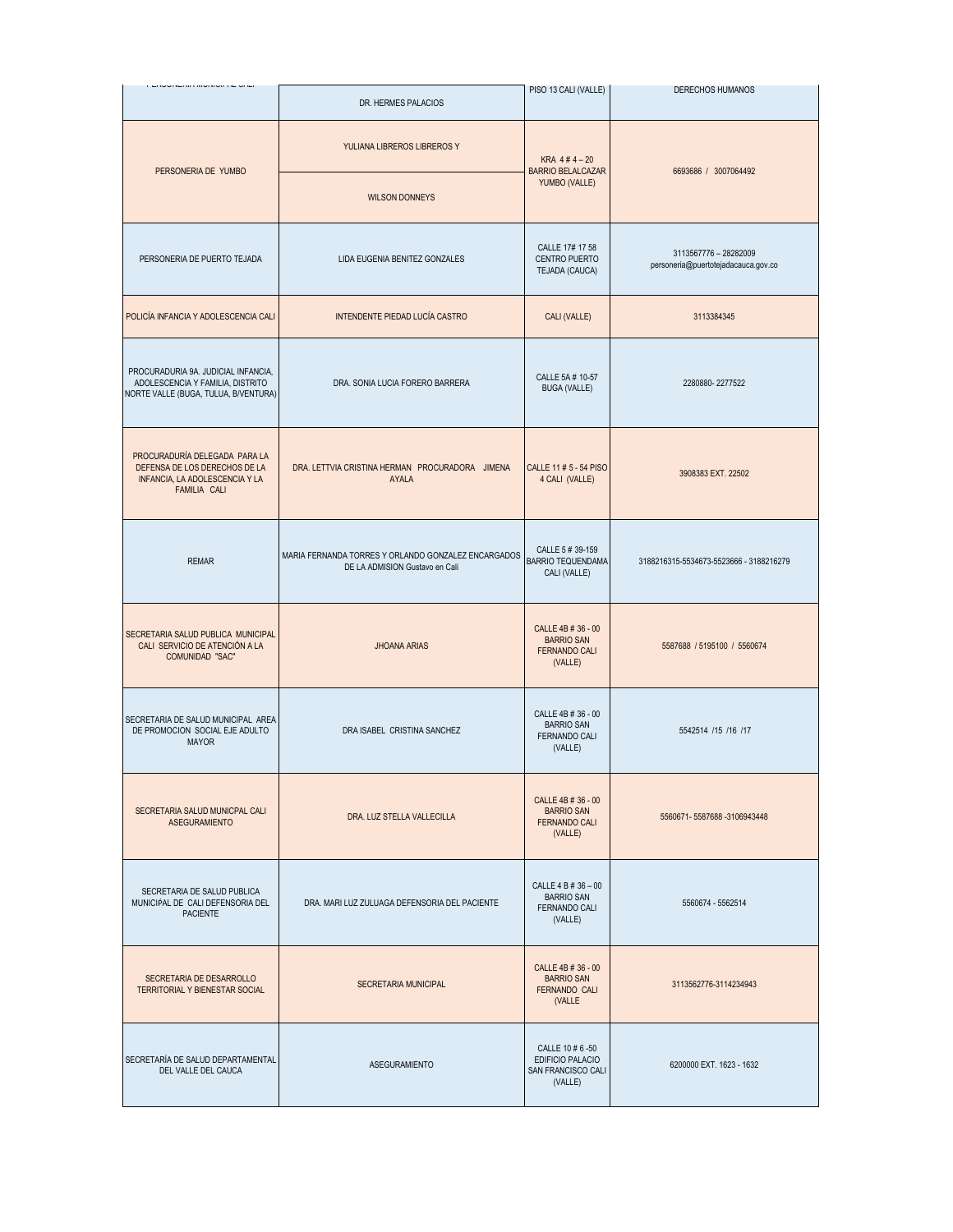| I LIVUITLIVA MURIUI AL UALI                                                                                      | DR. HERMES PALACIOS                                                                   | PISO 13 CALI (VALLE)                                                        | <b>DERECHOS HUMANOS</b>                                      |
|------------------------------------------------------------------------------------------------------------------|---------------------------------------------------------------------------------------|-----------------------------------------------------------------------------|--------------------------------------------------------------|
| PERSONERIA DE YUMBO                                                                                              | YULIANA LIBREROS LIBREROS Y                                                           | KRA $4#4-20$<br><b>BARRIO BELALCAZAR</b>                                    | 6693686 / 3007064492                                         |
|                                                                                                                  | <b>WILSON DONNEYS</b>                                                                 | YUMBO (VALLE)                                                               |                                                              |
| PERSONERIA DE PUERTO TEJADA                                                                                      | LIDA EUGENIA BENITEZ GONZALES                                                         | CALLE 17# 17 58<br>CENTRO PUERTO<br>TEJADA (CAUCA)                          | 3113567776 - 28282009<br>personeria@puertotejadacauca.gov.co |
| POLICÍA INFANCIA Y ADOLESCENCIA CALI                                                                             | INTENDENTE PIEDAD LUCÍA CASTRO                                                        | CALI (VALLE)                                                                | 3113384345                                                   |
| PROCURADURIA 9A. JUDICIAL INFANCIA,<br>ADOLESCENCIA Y FAMILIA, DISTRITO<br>NORTE VALLE (BUGA, TULUA, B/VENTURA)  | DRA. SONIA LUCIA FORERO BARRERA                                                       | CALLE 5A # 10-57<br><b>BUGA (VALLE)</b>                                     | 2280880-2277522                                              |
| PROCURADURÍA DELEGADA PARA LA<br>DEFENSA DE LOS DERECHOS DE LA<br>INFANCIA, LA ADOLESCENCIA Y LA<br>FAMILIA CALI | DRA, LETTVIA CRISTINA HERMAN PROCURADORA JIMENA<br>AYALA                              | CALLE 11 # 5 - 54 PISO<br>4 CALI (VALLE)                                    | 3908383 EXT, 22502                                           |
| <b>REMAR</b>                                                                                                     | MARIA FERNANDA TORRES Y ORLANDO GONZALEZ ENCARGADOS<br>DE LA ADMISION Gustavo en Cali | CALLE 5 # 39-159<br><b>BARRIO TEQUENDAMA</b><br>CALI (VALLE)                | 3188216315-5534673-5523666 - 3188216279                      |
| SECRETARIA SALUD PUBLICA MUNICIPAL<br>CALI SERVICIO DE ATENCIÓN A LA<br><b>COMUNIDAD "SAC"</b>                   | <b>JHOANA ARIAS</b>                                                                   | CALLE 4B # 36 - 00<br><b>BARRIO SAN</b><br><b>FERNANDO CALI</b><br>(VALLE)  | 5587688 / 5195100 / 5560674                                  |
| SECRETARIA DE SALUD MUNICIPAL AREA<br>DE PROMOCION SOCIAL EJE ADULTO<br><b>MAYOR</b>                             | DRA ISABEL CRISTINA SANCHEZ                                                           | CALLE 4B # 36 - 00<br><b>BARRIO SAN</b><br>FERNANDO CALI<br>(VALLE)         | 5542514 /15 /16 /17                                          |
| SECRETARIA SALUD MUNICPAL CALI<br><b>ASEGURAMIENTO</b>                                                           | DRA. LUZ STELLA VALLECILLA                                                            | CALLE 4B # 36 - 00<br><b>BARRIO SAN</b><br><b>FERNANDO CALI</b><br>(VALLE)  | 5560671-5587688-3106943448                                   |
| SECRETARIA DE SALUD PUBLICA<br>MUNICIPAL DE CALI DEFENSORIA DEL<br><b>PACIENTE</b>                               | DRA, MARI LUZ ZULUAGA DEFENSORIA DEL PACIENTE                                         | CALLE 4 B # 36 - 00<br><b>BARRIO SAN</b><br><b>FERNANDO CALI</b><br>(VALLE) | 5560674 - 5562514                                            |
| SECRETARIA DE DESARROLLO<br><b>TERRITORIAL Y BIENESTAR SOCIAL</b>                                                | SECRETARIA MUNICIPAL                                                                  | CALLE 4B # 36 - 00<br><b>BARRIO SAN</b><br><b>FERNANDO CALI</b><br>(VALLE   | 3113562776-3114234943                                        |
| SECRETARÍA DE SALUD DEPARTAMENTAL<br>DEL VALLE DEL CAUCA                                                         | <b>ASEGURAMIENTO</b>                                                                  | CALLE 10 # 6 -50<br>EDIFICIO PALACIO<br>SAN FRANCISCO CALI<br>(VALLE)       | 6200000 EXT. 1623 - 1632                                     |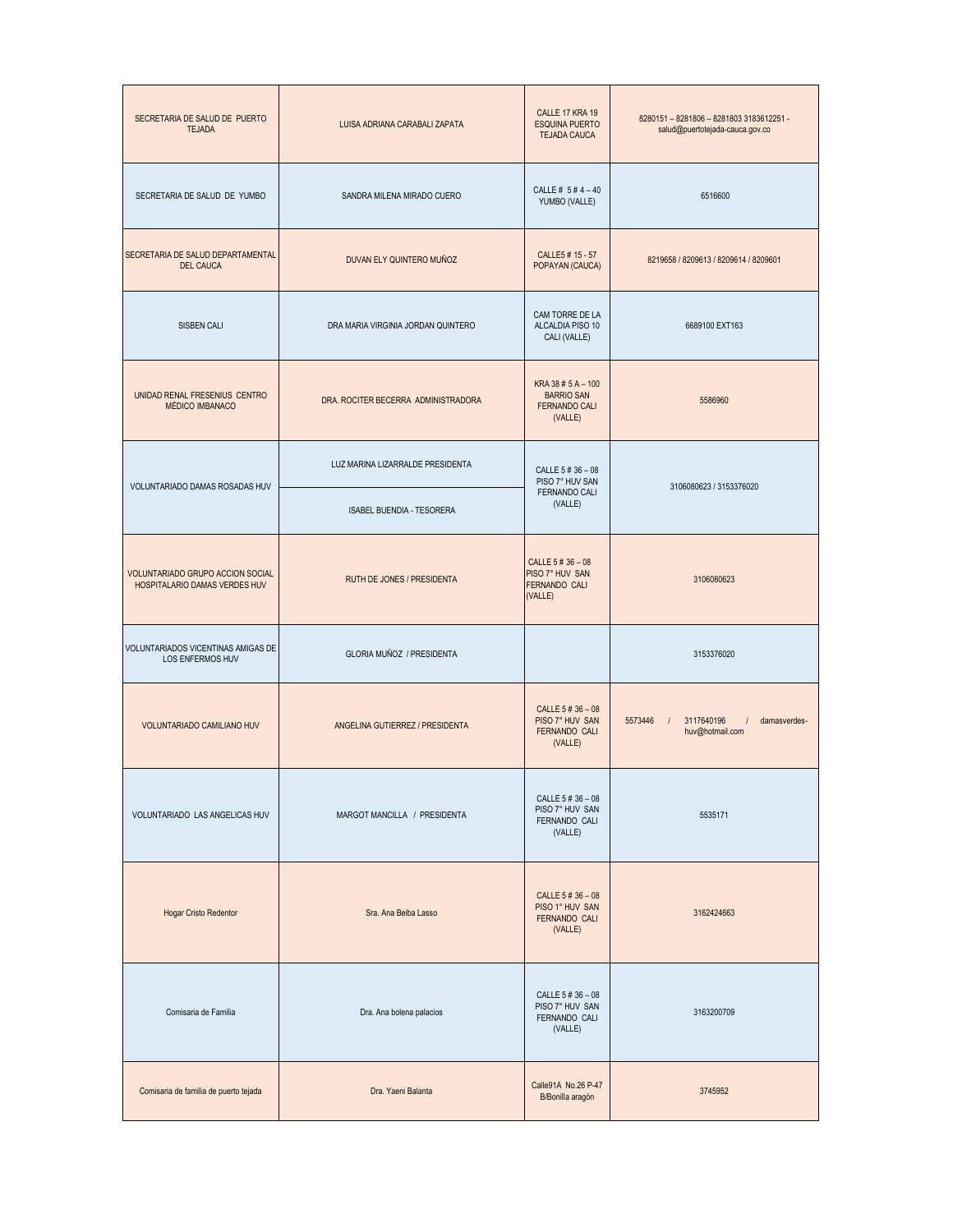| SECRETARIA DE SALUD DE PUERTO<br><b>TEJADA</b>                    | LUISA ADRIANA CARABALI ZAPATA       | CALLE 17 KRA 19<br><b>ESQUINA PUERTO</b><br><b>TEJADA CAUCA</b>            | 8280151-8281806-82818033183612251-<br>salud@puertotejada-cauca.gov.co  |
|-------------------------------------------------------------------|-------------------------------------|----------------------------------------------------------------------------|------------------------------------------------------------------------|
| SECRETARIA DE SALUD DE YUMBO                                      | SANDRA MILENA MIRADO CUERO          | CALLE # 5 # 4 - 40<br>YUMBO (VALLE)                                        | 6516600                                                                |
| SECRETARIA DE SALUD DEPARTAMENTAL<br><b>DEL CAUCA</b>             | DUVAN ELY QUINTERO MUÑOZ            | CALLE5 # 15 - 57<br>POPAYAN (CAUCA)                                        | 8219658 / 8209613 / 8209614 / 8209601                                  |
| <b>SISBEN CALI</b>                                                | DRA MARIA VIRGINIA JORDAN QUINTERO  | CAM TORRE DE LA<br>ALCALDIA PISO 10<br>CALI (VALLE)                        | 6689100 EXT163                                                         |
| UNIDAD RENAL FRESENIUS CENTRO<br>MÉDICO IMBANACO                  | DRA. ROCITER BECERRA ADMINISTRADORA | KRA 38 # 5 A - 100<br><b>BARRIO SAN</b><br><b>FERNANDO CALI</b><br>(VALLE) | 5586960                                                                |
| VOLUNTARIADO DAMAS ROSADAS HUV                                    | LUZ MARINA LIZARRALDE PRESIDENTA    | CALLE 5 # 36 - 08<br>PISO 7° HUV SAN                                       | 3106080623 / 3153376020                                                |
|                                                                   | ISABEL BUENDIA - TESORERA           | FERNANDO CALI<br>(VALLE)                                                   |                                                                        |
| VOLUNTARIADO GRUPO ACCION SOCIAL<br>HOSPITALARIO DAMAS VERDES HUV | RUTH DE JONES / PRESIDENTA          | CALLE 5 # 36 - 08<br>PISO 7° HUV SAN<br><b>FERNANDO CALI</b><br>(VALLE)    | 3106080623                                                             |
| VOLUNTARIADOS VICENTINAS AMIGAS DE<br>LOS ENFERMOS HUV            | GLORIA MUÑOZ / PRESIDENTA           |                                                                            | 3153376020                                                             |
| VOLUNTARIADO CAMILIANO HUV                                        | ANGELINA GUTIERREZ / PRESIDENTA     | CALLE 5 # 36 - 08<br>PISO 7° HUV SAN<br>FERNANDO CALI<br>(VALLE)           | 5573446<br>3117640196<br>damasverdes-<br>$\sqrt{ }$<br>huv@hotmail.com |
| VOLUNTARIADO LAS ANGELICAS HUV                                    | MARGOT MANCILLA / PRESIDENTA        | CALLE 5 # 36 - 08<br>PISO 7° HUV SAN<br>FERNANDO CALI<br>(VALLE)           | 5535171                                                                |
| Hogar Cristo Redentor                                             | Sra. Ana Beiba Lasso                | CALLE 5 # 36 - 08<br>PISO 1° HUV SAN<br>FERNANDO CALI<br>(VALLE)           | 3162424663                                                             |
| Comisaria de Familia                                              | Dra. Ana bolena palacios            | CALLE 5 # 36 - 08<br>PISO 7° HUV SAN<br>FERNANDO CALI<br>(VALLE)           | 3163200709                                                             |
| Comisaria de familia de puerto tejada                             | Dra. Yaeni Balanta                  | Calle91A No.26 P-47<br>B/Bonilla aragón                                    | 3745952                                                                |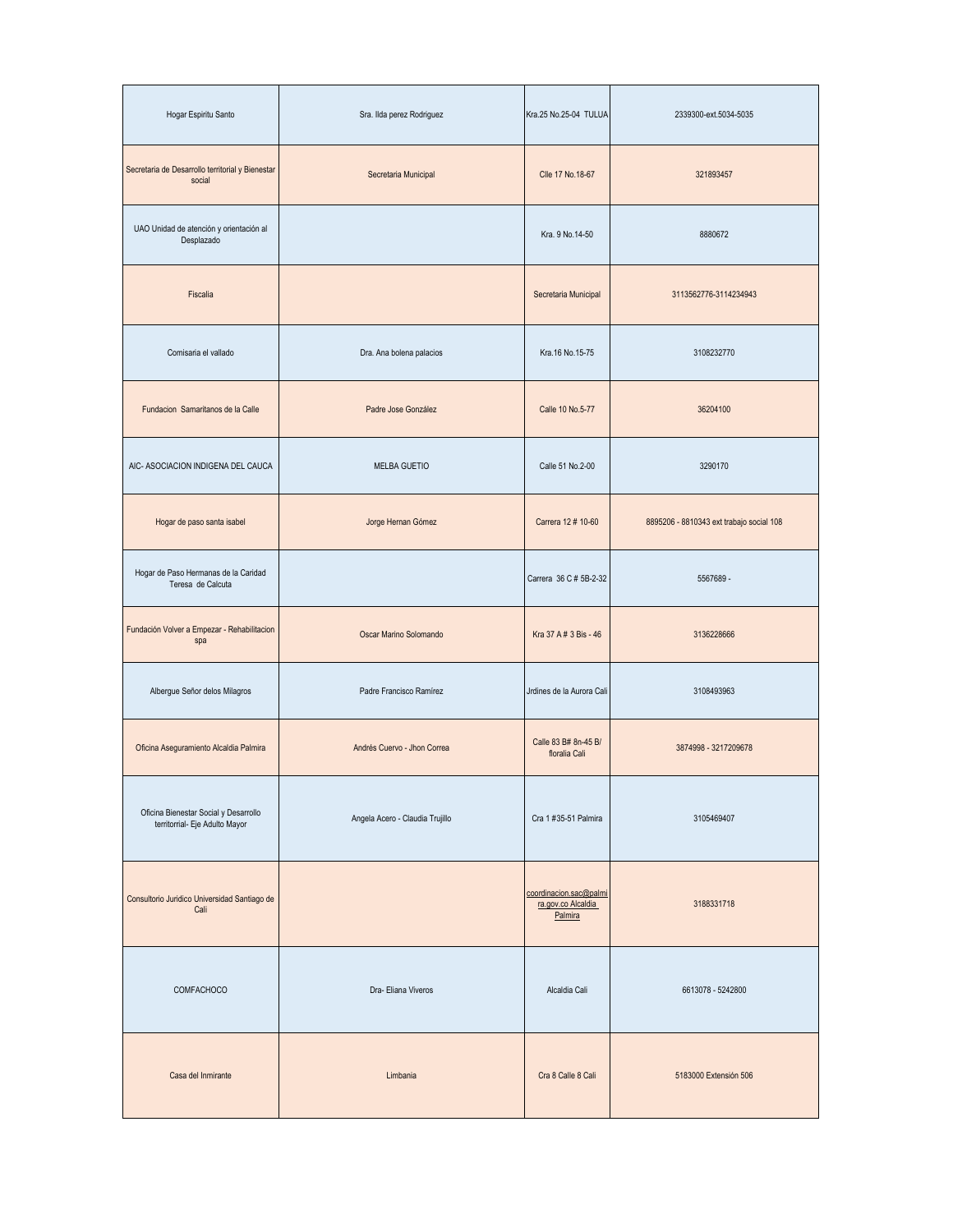| Hogar Espiritu Santo                                                    | Sra. Ilda perez Rodriguez       | Kra.25 No.25-04 TULUA                                   | 2339300-ext.5034-5035                    |
|-------------------------------------------------------------------------|---------------------------------|---------------------------------------------------------|------------------------------------------|
| Secretaria de Desarrollo territorial y Bienestar<br>social              | Secretaria Municipal            | Clle 17 No.18-67                                        | 321893457                                |
| UAO Unidad de atención y orientación al<br>Desplazado                   |                                 | Kra. 9 No.14-50                                         | 8880672                                  |
| Fiscalia                                                                |                                 | Secretaria Municipal                                    | 3113562776-3114234943                    |
| Comisaria el vallado                                                    | Dra. Ana bolena palacios        | Kra.16 No.15-75                                         | 3108232770                               |
| Fundacion Samaritanos de la Calle                                       | Padre Jose González             | Calle 10 No.5-77                                        | 36204100                                 |
| AIC- ASOCIACION INDIGENA DEL CAUCA                                      | <b>MELBA GUETIO</b>             | Calle 51 No.2-00                                        | 3290170                                  |
| Hogar de paso santa isabel                                              | Jorge Hernan Gómez              | Carrera 12 # 10-60                                      | 8895206 - 8810343 ext trabajo social 108 |
| Hogar de Paso Hermanas de la Caridad<br>Teresa de Calcuta               |                                 | Carrera 36 C # 5B-2-32                                  | 5567689 -                                |
| Fundación Volver a Empezar - Rehabilitacion<br>spa                      | Oscar Marino Solomando          | Kra 37 A # 3 Bis - 46                                   | 3136228666                               |
| Albergue Señor delos Milagros                                           | Padre Francisco Ramírez         | Jrdines de la Aurora Cali                               | 3108493963                               |
| Oficina Aseguramiento Alcaldia Palmira                                  | Andrés Cuervo - Jhon Correa     | Calle 83 B# 8n-45 B/<br>floralia Cali                   | 3874998 - 3217209678                     |
| Oficina Bienestar Social y Desarrollo<br>territorrial- Eje Adulto Mayor | Angela Acero - Claudia Trujillo | Cra 1 #35-51 Palmira                                    | 3105469407                               |
| Consultorio Juridico Universidad Santiago de<br>Cali                    |                                 | coordinacion.sac@palmi<br>ra.gov.co Alcaldia<br>Palmira | 3188331718                               |
| COMFACHOCO                                                              | Dra-Eliana Viveros              | Alcaldia Cali                                           | 6613078 - 5242800                        |
| Casa del Inmirante                                                      | Limbania                        | Cra 8 Calle 8 Cali                                      | 5183000 Extensión 506                    |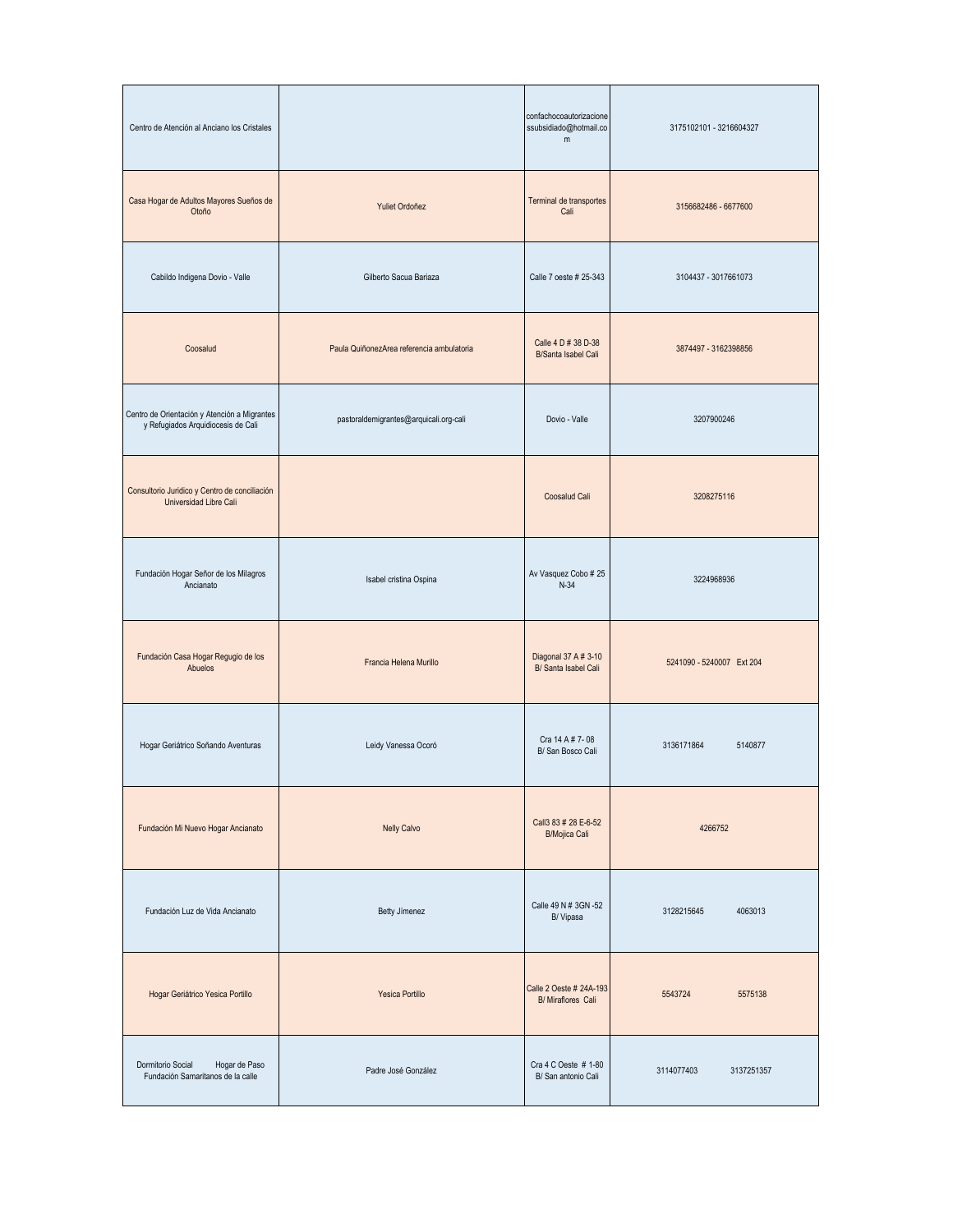| Centro de Atención al Anciano los Cristales                                        |                                           | confachocoautorizacione<br>ssubsidiado@hotmail.co<br>m | 3175102101 - 3216604327   |
|------------------------------------------------------------------------------------|-------------------------------------------|--------------------------------------------------------|---------------------------|
| Casa Hogar de Adultos Mayores Sueños de<br>Otoño                                   | Yuliet Ordoñez                            | Terminal de transportes<br>Cali                        | 3156682486 - 6677600      |
| Cabildo Indigena Dovio - Valle                                                     | Gilberto Sacua Bariaza                    | Calle 7 oeste # 25-343                                 | 3104437 - 3017661073      |
| Coosalud                                                                           | Paula QuiñonezArea referencia ambulatoria | Calle 4 D # 38 D-38<br><b>B/Santa Isabel Cali</b>      | 3874497 - 3162398856      |
| Centro de Orientación y Atención a Migrantes<br>y Refugiados Arquidiocesis de Cali | pastoraldemigrantes@arquicali.org-cali    | Dovio - Valle                                          | 3207900246                |
| Consultorio Juridico y Centro de conciliación<br>Universidad Libre Cali            |                                           | Coosalud Cali                                          | 3208275116                |
| Fundación Hogar Señor de los Milagros<br>Ancianato                                 | Isabel cristina Ospina                    | Av Vasquez Cobo # 25<br>$N-34$                         | 3224968936                |
| Fundación Casa Hogar Regugio de los<br>Abuelos                                     | Francia Helena Murillo                    | Diagonal 37 A # 3-10<br>B/ Santa Isabel Cali           | 5241090 - 5240007 Ext 204 |
| Hogar Geriátrico Soñando Aventuras                                                 | Leidy Vanessa Ocoró                       | Cra 14 A # 7-08<br>B/ San Bosco Cali                   | 3136171864<br>5140877     |
| Fundación Mi Nuevo Hogar Ancianato                                                 | <b>Nelly Calvo</b>                        | Call 3 83 # 28 E-6-52<br><b>B/Mojica Cali</b>          | 4266752                   |
| Fundación Luz de Vida Ancianato                                                    | Betty Jimenez                             | Calle 49 N # 3GN -52<br>B/Vipasa                       | 3128215645<br>4063013     |
| Hogar Geriátrico Yesica Portillo                                                   | Yesica Portillo                           | Calle 2 Oeste # 24A-193<br><b>B/ Miraflores Cali</b>   | 5543724<br>5575138        |
| Dormitorio Social<br>Hogar de Paso<br>Fundación Samaritanos de la calle            | Padre José González                       | Cra 4 C Oeste # 1-80<br>B/ San antonio Cali            | 3114077403<br>3137251357  |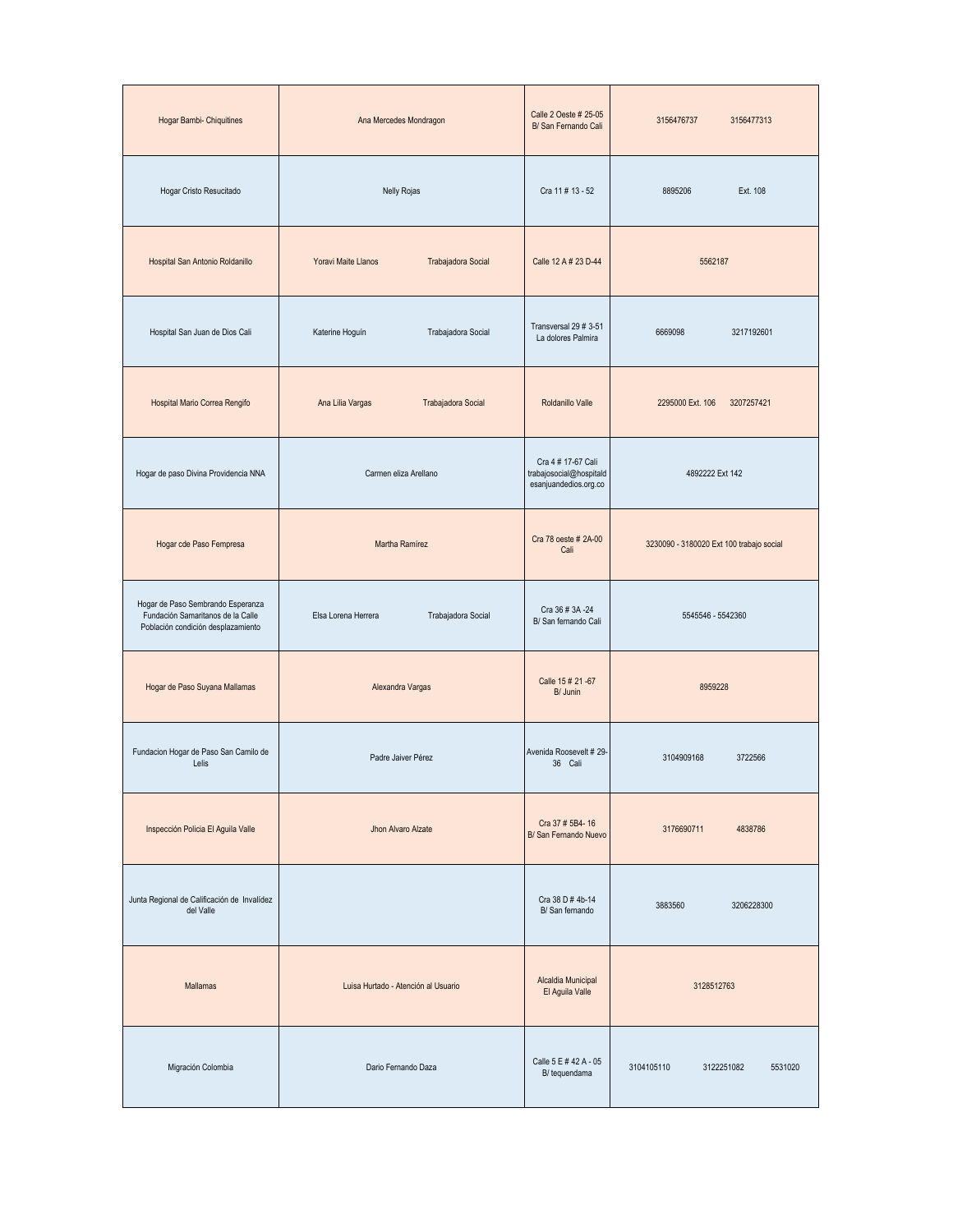| Hogar Bambi- Chiquitines                                                                                     | Ana Mercedes Mondragon                    | Calle 2 Oeste # 25-05<br>B/ San Fernando Cali                          | 3156476737<br>3156477313                 |
|--------------------------------------------------------------------------------------------------------------|-------------------------------------------|------------------------------------------------------------------------|------------------------------------------|
| Hogar Cristo Resucitado                                                                                      | <b>Nelly Rojas</b>                        | Cra 11 # 13 - 52                                                       | 8895206<br>Ext. 108                      |
| Hospital San Antonio Roldanillo                                                                              | Yoravi Maite Llanos<br>Trabajadora Social | Calle 12 A # 23 D-44                                                   | 5562187                                  |
| Hospital San Juan de Dios Cali                                                                               | Trabajadora Social<br>Katerine Hoguín     | Transversal 29 # 3-51<br>La dolores Palmira                            | 3217192601<br>6669098                    |
| Hospital Mario Correa Rengifo                                                                                | Ana Lilia Vargas<br>Trabajadora Social    | Roldanillo Valle                                                       | 2295000 Ext. 106<br>3207257421           |
| Hogar de paso Divina Providencia NNA                                                                         | Carmen eliza Arellano                     | Cra 4 # 17-67 Cali<br>trabajosocial@hospitald<br>esanjuandedios.org.co | 4892222 Ext 142                          |
| Hogar cde Paso Fempresa                                                                                      | Martha Ramírez                            | Cra 78 oeste # 2A-00<br>Cali                                           | 3230090 - 3180020 Ext 100 trabajo social |
| Hogar de Paso Sembrando Esperanza<br>Fundación Samaritanos de la Calle<br>Población condición desplazamiento | Trabajadora Social<br>Elsa Lorena Herrera | Cra 36 # 3A -24<br>B/ San fernando Cali                                | 5545546 - 5542360                        |
| Hogar de Paso Suyana Mallamas                                                                                | Alexandra Vargas                          | Calle 15 # 21 -67<br>B/ Junin                                          | 8959228                                  |
| Fundacion Hogar de Paso San Camilo de<br>Lelis                                                               | Padre Jaiver Pérez                        | Avenida Roosevelt # 29-<br>36 Cali                                     | 3104909168<br>3722566                    |
| Inspección Policia El Aguila Valle                                                                           | Jhon Alvaro Alzate                        | Cra 37 # 5B4-16<br>B/ San Fernando Nuevo                               | 3176690711<br>4838786                    |
| Junta Regional de Calificación de Invalídez<br>del Valle                                                     |                                           | Cra 38 D # 4b-14<br>B/ San fernando                                    | 3883560<br>3206228300                    |
| Mallamas                                                                                                     | Luisa Hurtado - Atención al Usuario       | Alcaldia Municipal<br>El Aguila Valle                                  | 3128512763                               |
| Migración Colombia                                                                                           | Dario Fernando Daza                       | Calle 5 E # 42 A - 05<br>B/ tequendama                                 | 3104105110<br>3122251082<br>5531020      |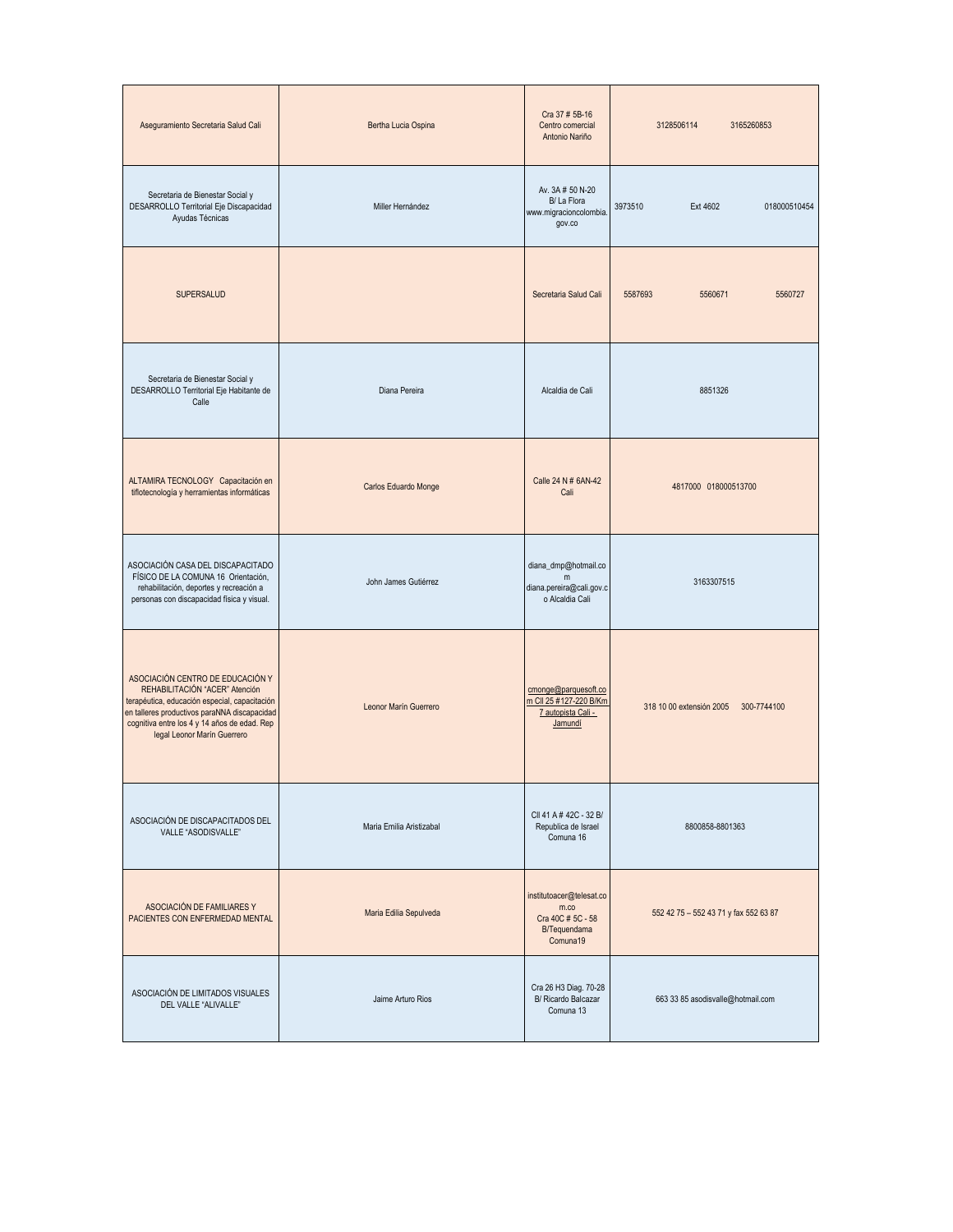| Aseguramiento Secretaria Salud Cali                                                                                                                                                                                                                | Bertha Lucia Ospina      | Cra 37 # 5B-16<br>Centro comercial<br>Antonio Nariño                              | 3128506114<br>3165260853                |
|----------------------------------------------------------------------------------------------------------------------------------------------------------------------------------------------------------------------------------------------------|--------------------------|-----------------------------------------------------------------------------------|-----------------------------------------|
| Secretaria de Bienestar Social y<br>DESARROLLO Territorial Eje Discapacidad<br>Ayudas Técnicas                                                                                                                                                     | Miller Hernández         | Av. 3A # 50 N-20<br>B/La Flora<br>www.migracioncolombia.<br>gov.co                | 3973510<br>Ext 4602<br>018000510454     |
| <b>SUPERSALUD</b>                                                                                                                                                                                                                                  |                          | Secretaria Salud Cali                                                             | 5587693<br>5560671<br>5560727           |
| Secretaria de Bienestar Social y<br>DESARROLLO Territorial Eje Habitante de<br>Calle                                                                                                                                                               | Diana Pereira            | Alcaldia de Cali                                                                  | 8851326                                 |
| ALTAMIRA TECNOLOGY Capacitación en<br>tiflotecnología y herramientas informáticas                                                                                                                                                                  | Carlos Eduardo Monge     | Calle 24 N # 6AN-42<br>Cali                                                       | 4817000 018000513700                    |
| ASOCIACIÓN CASA DEL DISCAPACITADO<br>FÍSICO DE LA COMUNA 16 Orientación,<br>rehabilitación, deportes y recreación a<br>personas con discapacidad física y visual.                                                                                  | John James Gutiérrez     | diana_dmp@hotmail.co<br>m<br>diana.pereira@cali.gov.c<br>o Alcaldia Cali          | 3163307515                              |
| ASOCIACIÓN CENTRO DE EDUCACIÓN Y<br>REHABILITACIÓN "ACER" Atención<br>terapéutica, educación especial, capacitación<br>en talleres productivos paraNNA discapacidad<br>cognitiva entre los 4 y 14 años de edad. Rep<br>legal Leonor Marín Guerrero | Leonor Marín Guerrero    | cmonge@parquesoft.co<br>m CII 25 #127-220 B/Km<br>7 autopista Cali -<br>Jamundí   | 300-7744100<br>318 10 00 extensión 2005 |
| ASOCIACIÓN DE DISCAPACITADOS DEL<br>VALLE "ASODISVALLE"                                                                                                                                                                                            | Maria Emilia Aristizabal | CII 41 A # 42C - 32 B/<br>Republica de Israel<br>Comuna 16                        | 8800858-8801363                         |
| ASOCIACIÓN DE FAMILIARES Y<br>PACIENTES CON ENFERMEDAD MENTAL                                                                                                                                                                                      | Maria Edilia Sepulveda   | institutoacer@telesat.co<br>m.co<br>Cra 40C # 5C - 58<br>B/Tequendama<br>Comuna19 | 552 42 75 - 552 43 71 y fax 552 63 87   |
| ASOCIACIÓN DE LIMITADOS VISUALES<br>DEL VALLE "ALIVALLE"                                                                                                                                                                                           | Jaime Arturo Rios        | Cra 26 H3 Diag. 70-28<br>B/ Ricardo Balcazar<br>Comuna 13                         | 663 33 85 asodisvalle@hotmail.com       |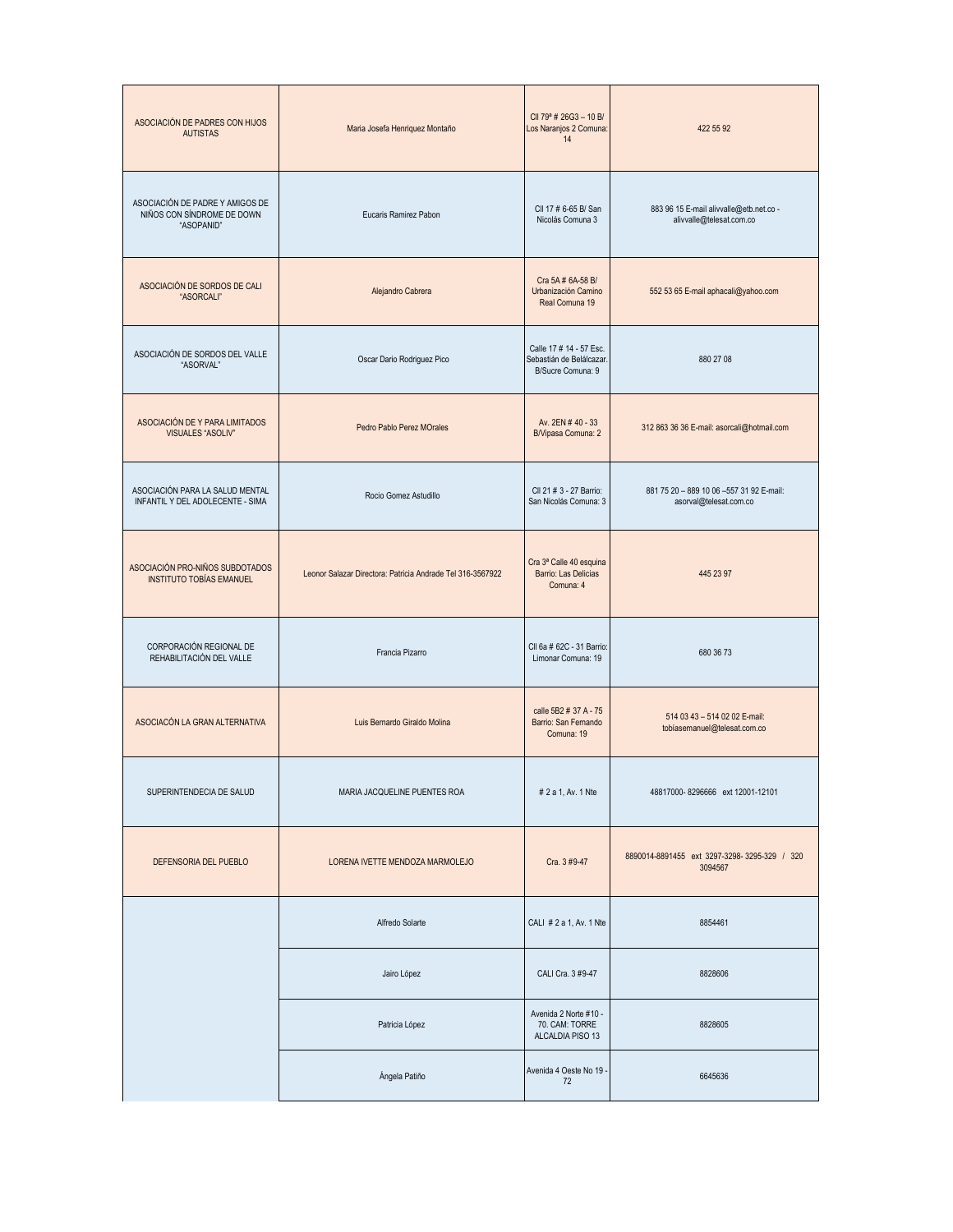| ASOCIACIÓN DE PADRES CON HIJOS<br><b>AUTISTAS</b>                           | Maria Josefa Henriquez Montaño                             | CII 79 <sup>ª</sup> # 26G3 - 10 B/<br>Los Naranjos 2 Comuna:<br>14       | 422 55 92                                                           |
|-----------------------------------------------------------------------------|------------------------------------------------------------|--------------------------------------------------------------------------|---------------------------------------------------------------------|
| ASOCIACIÓN DE PADRE Y AMIGOS DE<br>NIÑOS CON SÍNDROME DE DOWN<br>"ASOPANID" | Eucaris Ramirez Pabon                                      | CII 17 # 6-65 B/ San<br>Nicolás Comuna 3                                 | 883 96 15 E-mail alivvalle@etb.net.co -<br>alivvalle@telesat.com.co |
| ASOCIACIÓN DE SORDOS DE CALI<br>"ASORCALI"                                  | Alejandro Cabrera                                          | Cra 5A # 6A-58 B/<br>Urbanización Camino<br>Real Comuna 19               | 552 53 65 E-mail aphacali@yahoo.com                                 |
| ASOCIACIÓN DE SORDOS DEL VALLE<br>"ASORVAL"                                 | Oscar Dario Rodriguez Pico                                 | Calle 17 # 14 - 57 Esc.<br>Sebastián de Belálcazar.<br>B/Sucre Comuna: 9 | 880 27 08                                                           |
| ASOCIACIÓN DE Y PARA LIMITADOS<br><b>VISUALES "ASOLIV"</b>                  | Pedro Pablo Perez MOrales                                  | Av. 2EN #40 - 33<br>B/Vipasa Comuna: 2                                   | 312 863 36 36 E-mail: asorcali@hotmail.com                          |
| ASOCIACIÓN PARA LA SALUD MENTAL<br>INFANTIL Y DEL ADOLECENTE - SIMA         | Rocio Gomez Astudillo                                      | CII 21 # 3 - 27 Barrio:<br>San Nicolás Comuna: 3                         | 881 75 20 - 889 10 06 -557 31 92 E-mail:<br>asorval@telesat.com.co  |
| ASOCIACIÓN PRO-NIÑOS SUBDOTADOS<br><b>INSTITUTO TOBÍAS EMANUEL</b>          | Leonor Salazar Directora: Patricia Andrade Tel 316-3567922 | Cra 3ª Calle 40 esquina<br>Barrio: Las Delicias<br>Comuna: 4             | 445 23 97                                                           |
| CORPORACIÓN REGIONAL DE<br>REHABILITACIÓN DEL VALLE                         | Francia Pizarro                                            | CII 6a # 62C - 31 Barrio:<br>Limonar Comuna: 19                          | 680 36 73                                                           |
| ASOCIACÓN LA GRAN ALTERNATIVA                                               | Luis Bernardo Giraldo Molina                               | calle 5B2 # 37 A - 75<br>Barrio: San Fernando<br>Comuna: 19              | 514 03 43 - 514 02 02 E-mail:<br>tobiasemanuel@telesat.com.co       |
| SUPERINTENDECIA DE SALUD                                                    | MARIA JACQUELINE PUENTES ROA                               | # 2 a 1, Av. 1 Nte                                                       | 48817000-8296666 ext 12001-12101                                    |
| DEFENSORIA DEL PUEBLO                                                       | LORENA IVETTE MENDOZA MARMOLEJO                            | Cra. 3 #9-47                                                             | 8890014-8891455 ext 3297-3298-3295-329 / 320<br>3094567             |
|                                                                             | Alfredo Solarte                                            | CALI # 2 a 1, Av. 1 Nte                                                  | 8854461                                                             |
|                                                                             | Jairo López                                                | CALI Cra. 3 #9-47                                                        | 8828606                                                             |
|                                                                             | Patricia López                                             | Avenida 2 Norte #10 -<br>70. CAM: TORRE<br>ALCALDIA PISO 13              | 8828605                                                             |
|                                                                             | Ángela Patiño                                              | Avenida 4 Oeste No 19<br>72                                              | 6645636                                                             |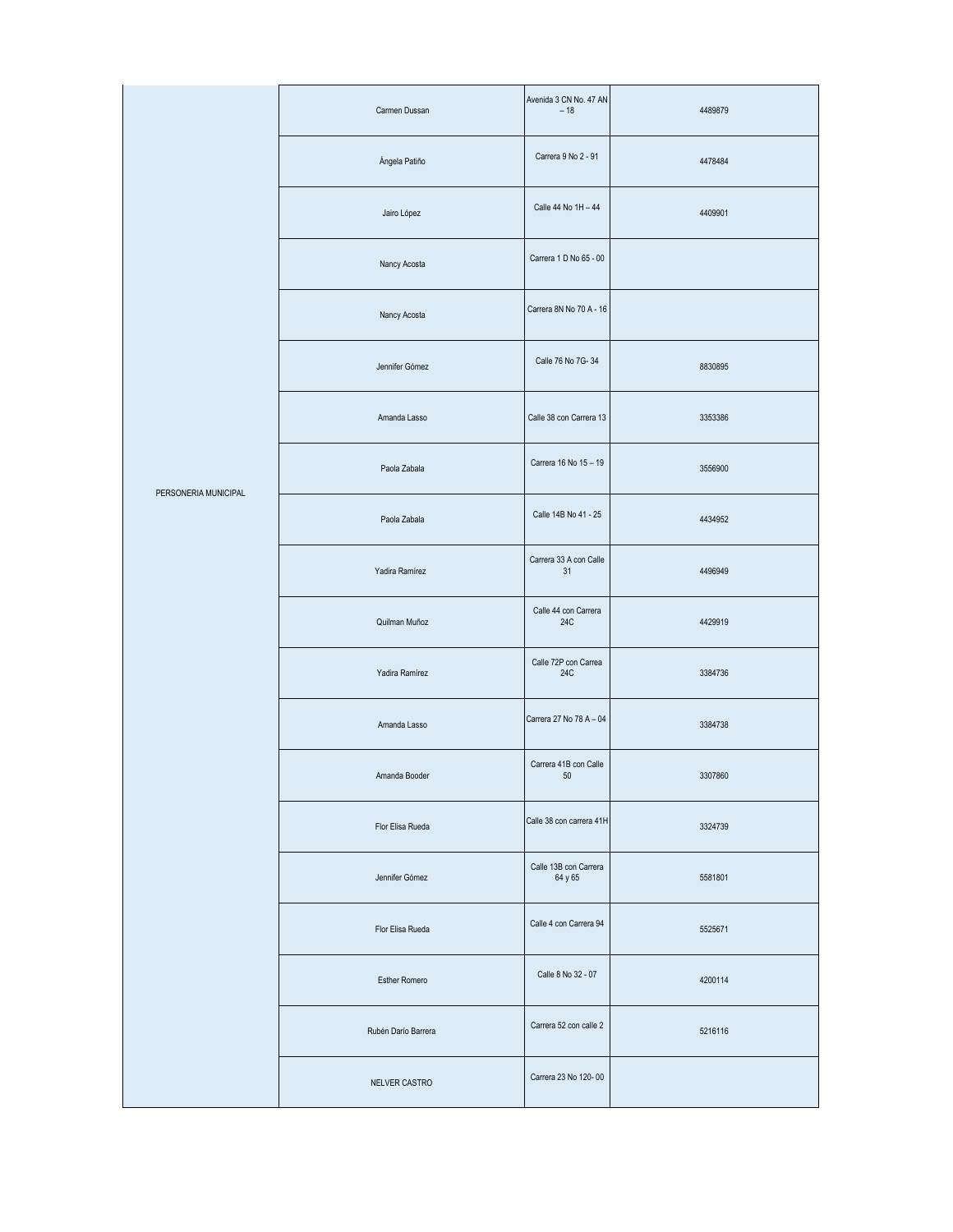|                      | Carmen Dussan       | Avenida 3 CN No. 47 AN<br>$-18$  | 4489879 |
|----------------------|---------------------|----------------------------------|---------|
|                      | Ángela Patiño       | Carrera 9 No 2 - 91              | 4478484 |
|                      | Jairo López         | Calle 44 No 1H - 44              | 4409901 |
|                      | Nancy Acosta        | Carrera 1 D No 65 - 00           |         |
|                      | Nancy Acosta        | Carrera 8N No 70 A - 16          |         |
|                      | Jennifer Gómez      | Calle 76 No 7G-34                | 8830895 |
|                      | Amanda Lasso        | Calle 38 con Carrera 13          | 3353386 |
| PERSONERIA MUNICIPAL | Paola Zabala        | Carrera 16 No 15 - 19            | 3556900 |
|                      | Paola Zabala        | Calle 14B No 41 - 25             | 4434952 |
|                      | Yadira Ramírez      | Carrera 33 A con Calle<br>31     | 4496949 |
|                      | Quilman Muñoz       | Calle 44 con Carrera<br>24C      | 4429919 |
|                      | Yadira Ramírez      | Calle 72P con Carrea<br>24C      | 3384736 |
|                      | Amanda Lasso        | Carrera 27 No 78 A - 04          | 3384738 |
|                      | Amanda Booder       | Carrera 41B con Calle<br>$50\,$  | 3307860 |
|                      | Flor Elisa Rueda    | Calle 38 con carrera 41H         | 3324739 |
|                      | Jennifer Gómez      | Calle 13B con Carrera<br>64 y 65 | 5581801 |
|                      | Flor Elisa Rueda    | Calle 4 con Carrera 94           | 5525671 |
|                      | Esther Romero       | Calle 8 No 32 - 07               | 4200114 |
|                      | Rubén Darío Barrera | Carrera 52 con calle 2           | 5216116 |
|                      | NELVER CASTRO       | Carrera 23 No 120-00             |         |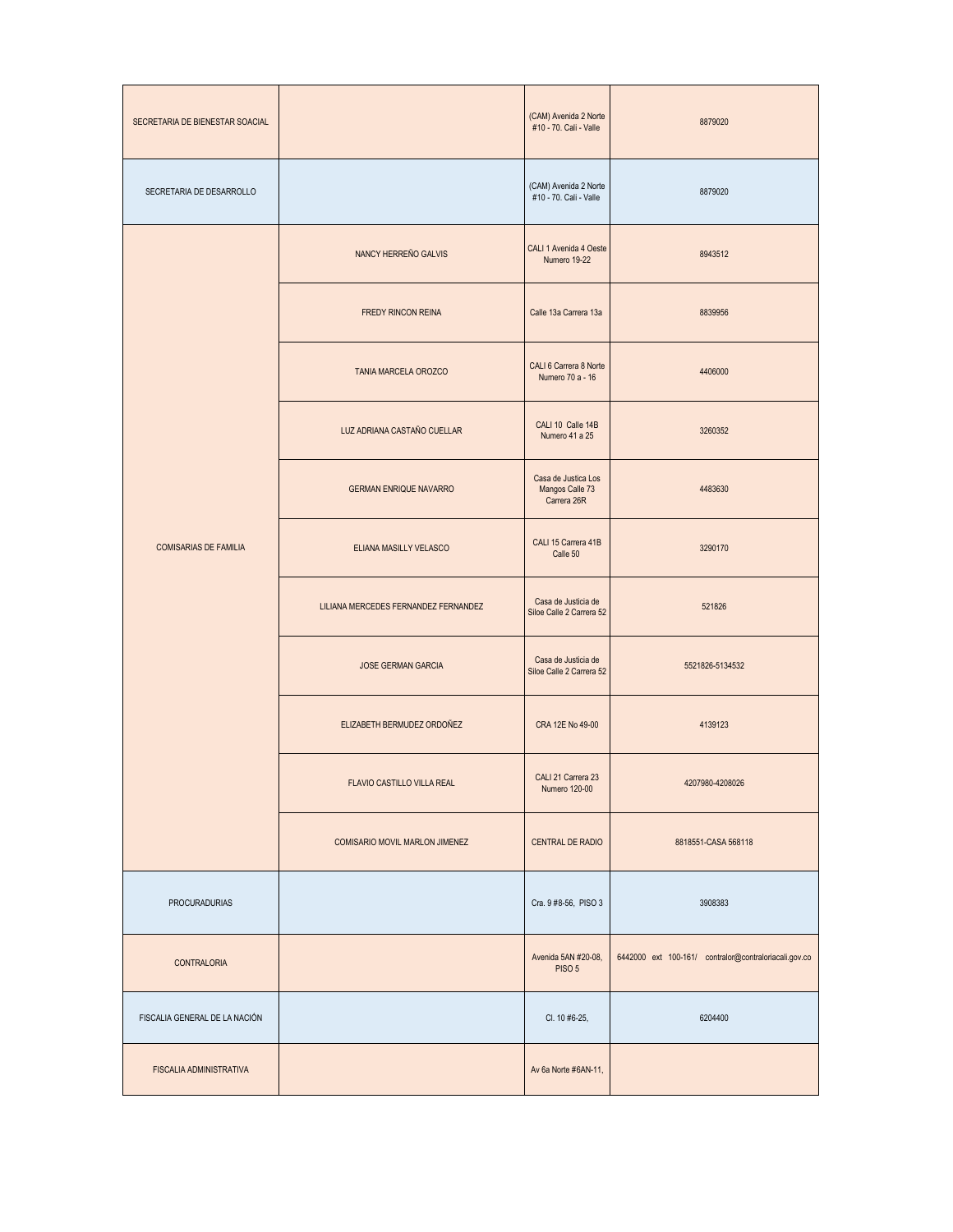| SECRETARIA DE BIENESTAR SOACIAL |                                      | (CAM) Avenida 2 Norte<br>#10 - 70. Cali - Valle       | 8879020                                               |
|---------------------------------|--------------------------------------|-------------------------------------------------------|-------------------------------------------------------|
| SECRETARIA DE DESARROLLO        |                                      | (CAM) Avenida 2 Norte<br>#10 - 70. Cali - Valle       | 8879020                                               |
|                                 | NANCY HERREÑO GALVIS                 | CALI 1 Avenida 4 Oeste<br>Numero 19-22                | 8943512                                               |
|                                 | FREDY RINCON REINA                   | Calle 13a Carrera 13a                                 | 8839956                                               |
|                                 | TANIA MARCELA OROZCO                 | CALI 6 Carrera 8 Norte<br>Numero 70 a - 16            | 4406000                                               |
|                                 | LUZ ADRIANA CASTAÑO CUELLAR          | CALI 10 Calle 14B<br>Numero 41 a 25                   | 3260352                                               |
|                                 | <b>GERMAN ENRIQUE NAVARRO</b>        | Casa de Justica Los<br>Mangos Calle 73<br>Carrera 26R | 4483630                                               |
| <b>COMISARIAS DE FAMILIA</b>    | ELIANA MASILLY VELASCO               | CALI 15 Carrera 41B<br>Calle 50                       | 3290170                                               |
|                                 | LILIANA MERCEDES FERNANDEZ FERNANDEZ | Casa de Justicia de<br>Siloe Calle 2 Carrera 52       | 521826                                                |
|                                 | <b>JOSE GERMAN GARCIA</b>            | Casa de Justicia de<br>Siloe Calle 2 Carrera 52       | 5521826-5134532                                       |
|                                 | ELIZABETH BERMUDEZ ORDOÑEZ           | CRA 12E No 49-00                                      | 4139123                                               |
|                                 | FLAVIO CASTILLO VILLA REAL           | CALI 21 Carrera 23<br>Numero 120-00                   | 4207980-4208026                                       |
|                                 | COMISARIO MOVIL MARLON JIMENEZ       | CENTRAL DE RADIO                                      | 8818551-CASA 568118                                   |
| <b>PROCURADURIAS</b>            |                                      | Cra. 9 #8-56, PISO 3                                  | 3908383                                               |
| <b>CONTRALORIA</b>              |                                      | Avenida 5AN #20-08,<br>PISO 5                         | 6442000 ext 100-161/ contralor@contraloriacali.gov.co |
| FISCALIA GENERAL DE LA NACIÓN   |                                      | CI. 10 #6-25,                                         | 6204400                                               |
| FISCALIA ADMINISTRATIVA         |                                      | Av 6a Norte #6AN-11,                                  |                                                       |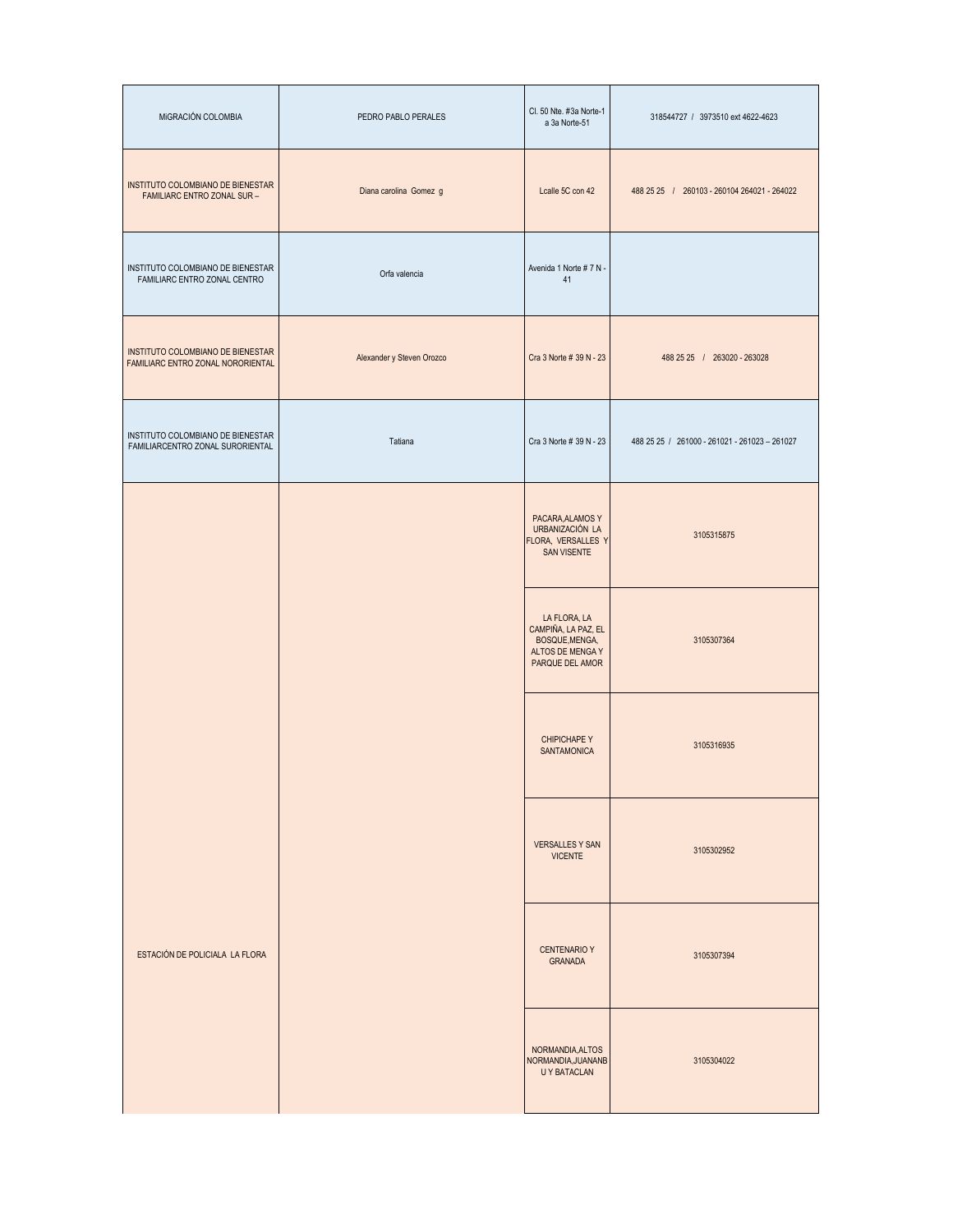| MIGRACIÓN COLOMBIA                                                     | PEDRO PABLO PERALES       | Cl. 50 Nte. #3a Norte-1<br>a 3a Norte-51                                                     | 318544727 / 3973510 ext 4622-4623             |
|------------------------------------------------------------------------|---------------------------|----------------------------------------------------------------------------------------------|-----------------------------------------------|
| INSTITUTO COLOMBIANO DE BIENESTAR<br>FAMILIARC ENTRO ZONAL SUR -       | Diana carolina Gomez g    | Lcalle 5C con 42                                                                             | 488 25 25 / 260103 - 260104 264021 - 264022   |
| INSTITUTO COLOMBIANO DE BIENESTAR<br>FAMILIARC ENTRO ZONAL CENTRO      | Orfa valencia             | Avenida 1 Norte # 7 N -<br>41                                                                |                                               |
| INSTITUTO COLOMBIANO DE BIENESTAR<br>FAMILIARC ENTRO ZONAL NORORIENTAL | Alexander y Steven Orozco | Cra 3 Norte # 39 N - 23                                                                      | 488 25 25 / 263020 - 263028                   |
| INSTITUTO COLOMBIANO DE BIENESTAR<br>FAMILIARCENTRO ZONAL SURORIENTAL  | Tatiana                   | Cra 3 Norte # 39 N - 23                                                                      | 488 25 25 / 261000 - 261021 - 261023 - 261027 |
|                                                                        |                           | PACARA, ALAMOS Y<br>URBANIZACIÓN LA<br>FLORA, VERSALLES Y<br>SAN VISENTE                     | 3105315875                                    |
|                                                                        |                           | LA FLORA, LA<br>CAMPIÑA, LA PAZ, EL<br>BOSQUE, MENGA,<br>ALTOS DE MENGA Y<br>PARQUE DEL AMOR | 3105307364                                    |
|                                                                        |                           | <b>CHIPICHAPE Y</b><br>SANTAMONICA                                                           | 3105316935                                    |
|                                                                        |                           | <b>VERSALLES Y SAN</b><br><b>VICENTE</b>                                                     | 3105302952                                    |
| ESTACIÓN DE POLICIALA LA FLORA                                         |                           | <b>CENTENARIO Y</b><br>GRANADA                                                               | 3105307394                                    |
|                                                                        |                           | NORMANDIA, ALTOS<br>NORMANDIA, JUANANB<br><b>UY BATACLAN</b>                                 | 3105304022                                    |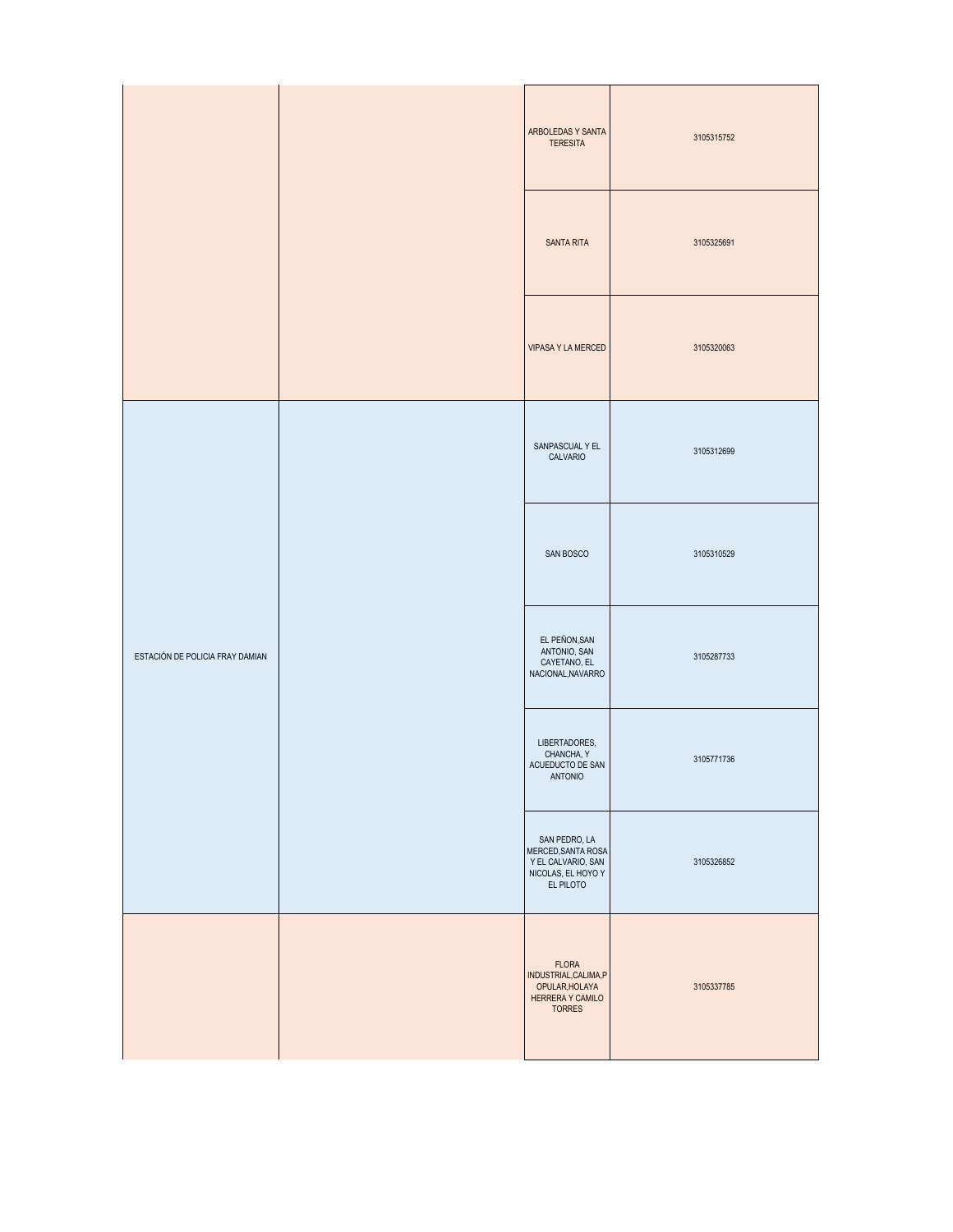|                                 | ARBOLEDAS Y SANTA<br><b>TERESITA</b> | 3105315752                                                                                   |            |
|---------------------------------|--------------------------------------|----------------------------------------------------------------------------------------------|------------|
|                                 |                                      | <b>SANTA RITA</b>                                                                            | 3105325691 |
|                                 |                                      | <b>VIPASA Y LA MERCED</b>                                                                    | 3105320063 |
| ESTACIÓN DE POLICIA FRAY DAMIAN |                                      | SANPASCUAL Y EL<br>CALVARIO                                                                  | 3105312699 |
|                                 |                                      | SAN BOSCO                                                                                    | 3105310529 |
|                                 |                                      | EL PEÑON, SAN<br>ANTONIO, SAN<br>CAYETANO, EL<br>NACIONAL, NAVARRO                           | 3105287733 |
|                                 |                                      | LIBERTADORES,<br>CHANCHA, Y<br>ACUEDUCTO DE SAN<br>ANTONIO                                   | 3105771736 |
|                                 |                                      | SAN PEDRO, LA<br>MERCED, SANTA ROSA<br>Y EL CALVARIO, SAN<br>NICOLAS, EL HOYO Y<br>EL PILOTO | 3105326852 |
|                                 |                                      | <b>FLORA</b><br>INDUSTRIAL, CALIMA, P<br>OPULAR, HOLAYA<br>HERRERA Y CAMILO<br><b>TORRES</b> | 3105337785 |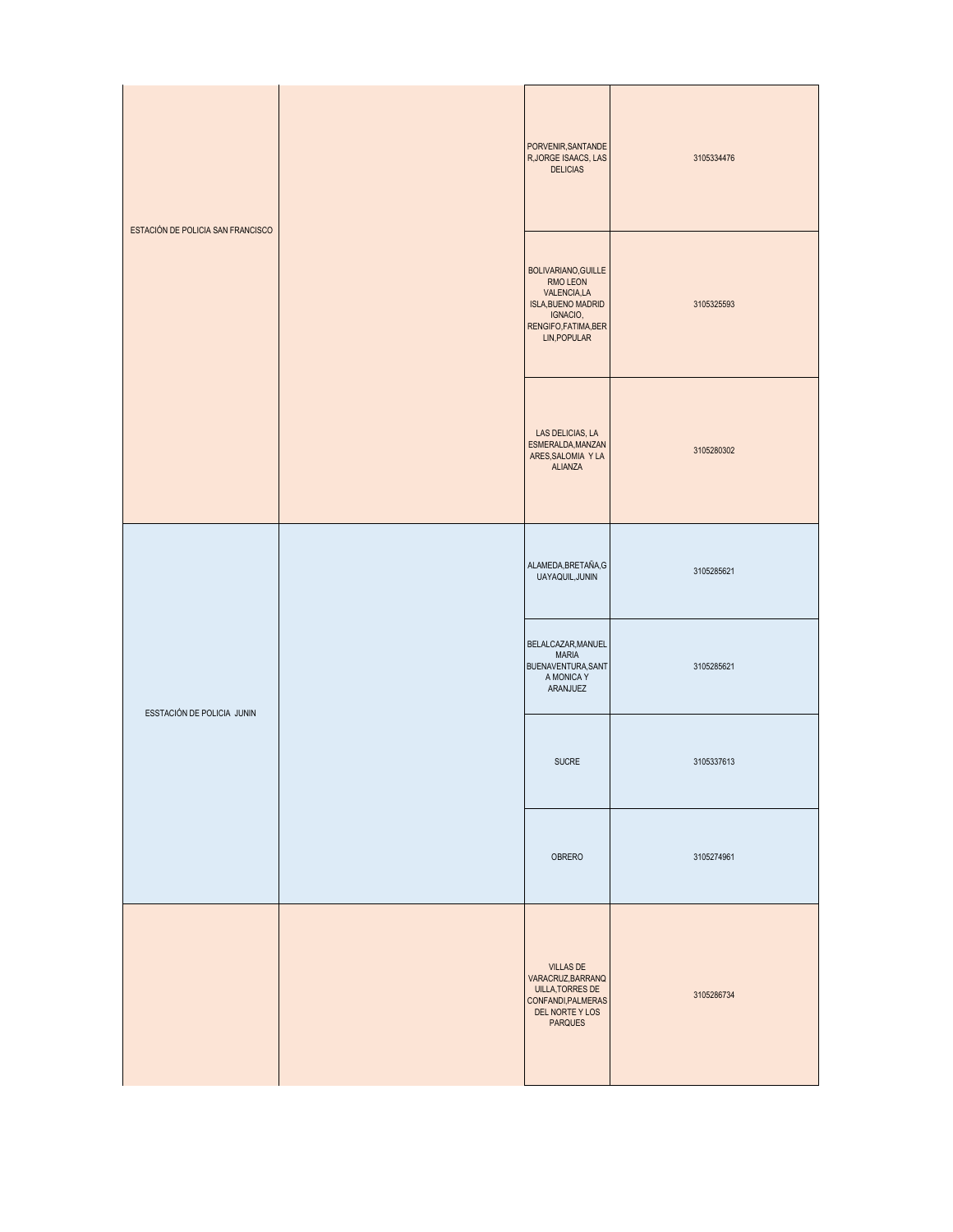| ESTACIÓN DE POLICIA SAN FRANCISCO |  | PORVENIR, SANTANDE<br>R, JORGE ISAACS, LAS<br><b>DELICIAS</b>                                                                 | 3105334476 |
|-----------------------------------|--|-------------------------------------------------------------------------------------------------------------------------------|------------|
|                                   |  | BOLIVARIANO, GUILLE<br>RMO LEON<br>VALENCIA,LA<br><b>ISLA, BUENO MADRID</b><br>IGNACIO,<br>RENGIFO,FATIMA,BER<br>LIN, POPULAR | 3105325593 |
|                                   |  | LAS DELICIAS, LA<br>ESMERALDA, MANZAN<br>ARES, SALOMIA Y LA<br><b>ALIANZA</b>                                                 | 3105280302 |
| ESSTACIÓN DE POLICIA JUNIN        |  | ALAMEDA, BRETAÑA, G<br>UAYAQUIL, JUNIN                                                                                        | 3105285621 |
|                                   |  | BELALCAZAR, MANUEL<br><b>MARIA</b><br>BUENAVENTURA, SANT<br>A MONICA Y<br>ARANJUEZ                                            | 3105285621 |
|                                   |  | <b>SUCRE</b>                                                                                                                  | 3105337613 |
|                                   |  | OBRERO                                                                                                                        | 3105274961 |
|                                   |  | <b>VILLAS DE</b><br>VARACRUZ, BARRANQ<br><b>UILLA, TORRES DE</b><br>CONFANDI, PALMERAS<br>DEL NORTE Y LOS<br><b>PARQUES</b>   | 3105286734 |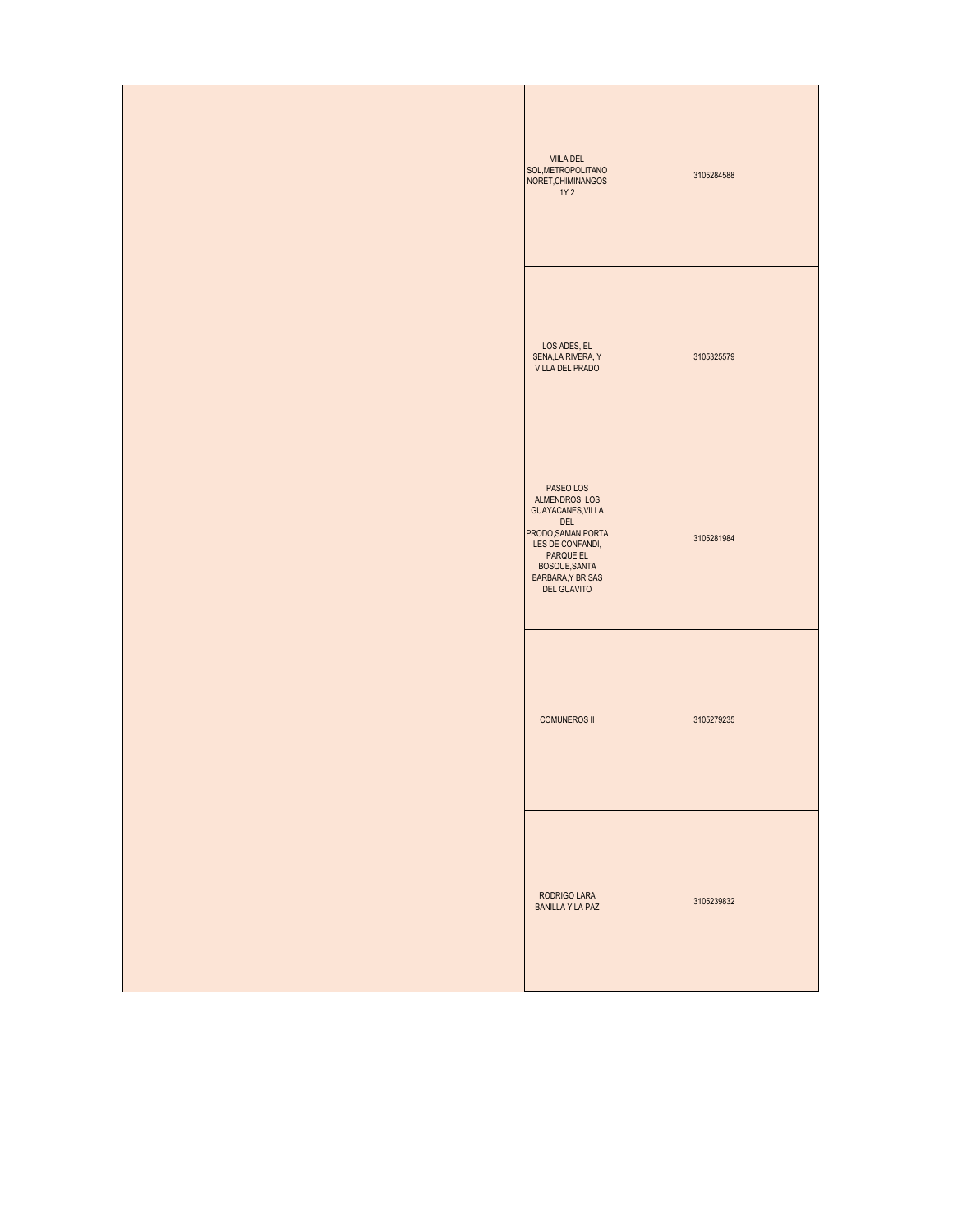|  | VIILA DEL<br>SOL, METROPOLITANO<br>NORET, CHIMINANGOS<br>1Y 2                                                                                                                      | 3105284588 |
|--|------------------------------------------------------------------------------------------------------------------------------------------------------------------------------------|------------|
|  | LOS ADES, EL<br>SENA, LA RIVERA, Y<br>VILLA DEL PRADO                                                                                                                              | 3105325579 |
|  | PASEO LOS<br>ALMENDROS, LOS<br>GUAYACANES, VILLA<br>DEL<br>PRODO, SAMAN, PORTA<br>LES DE CONFANDI,<br>PARQUE EL<br>BOSQUE, SANTA<br><b>BARBARA, Y BRISAS</b><br><b>DEL GUAVITO</b> | 3105281984 |
|  | <b>COMUNEROS II</b>                                                                                                                                                                | 3105279235 |
|  | RODRIGO LARA<br><b>BANILLA Y LA PAZ</b>                                                                                                                                            | 3105239832 |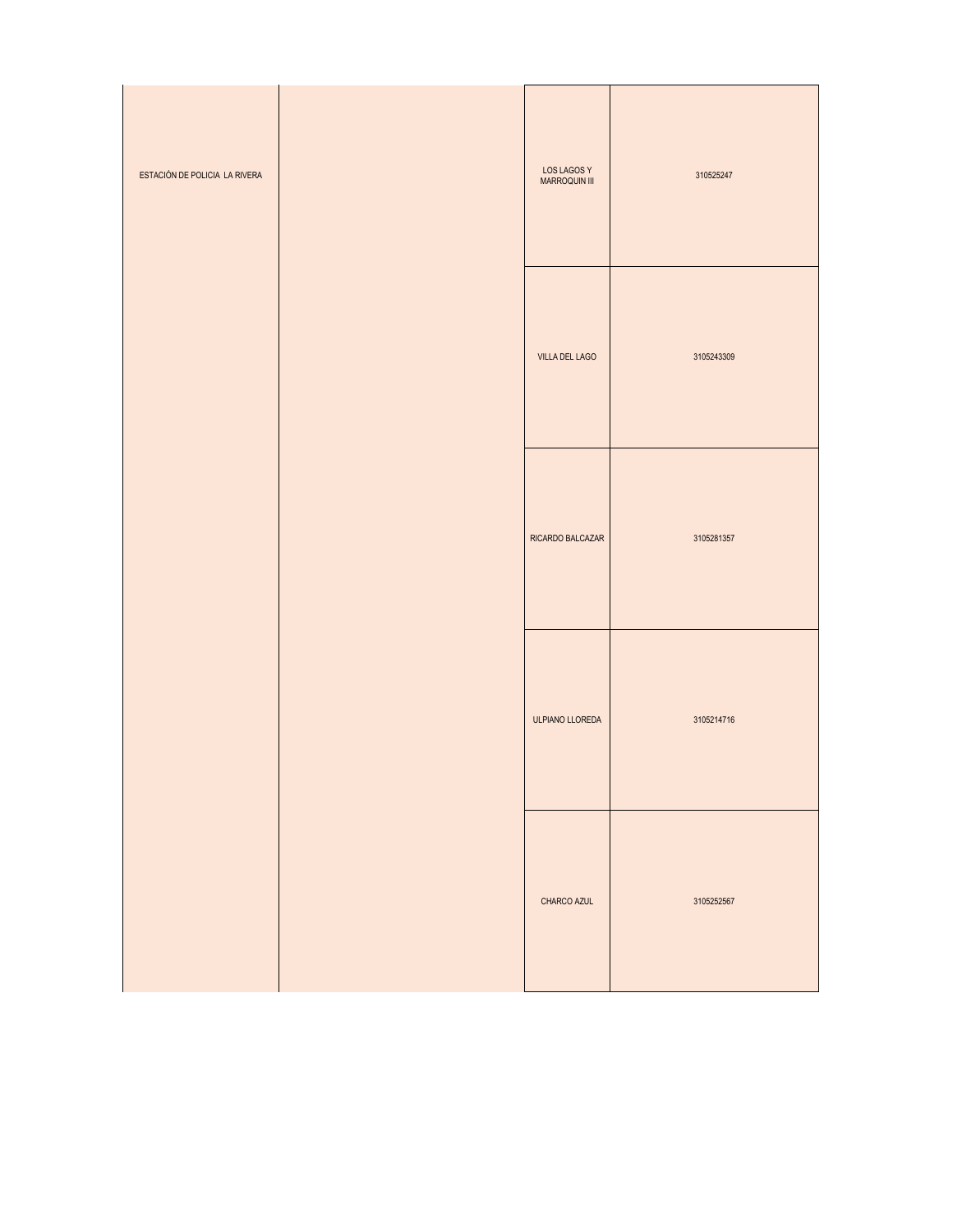| ESTACIÓN DE POLICIA LA RIVERA | <b>LOS LAGOS Y</b><br>MARROQUIN III | 310525247  |
|-------------------------------|-------------------------------------|------------|
|                               | VILLA DEL LAGO                      | 3105243309 |
|                               | RICARDO BALCAZAR                    | 3105281357 |
|                               | ULPIANO LLOREDA                     | 3105214716 |
|                               | CHARCO AZUL                         | 3105252567 |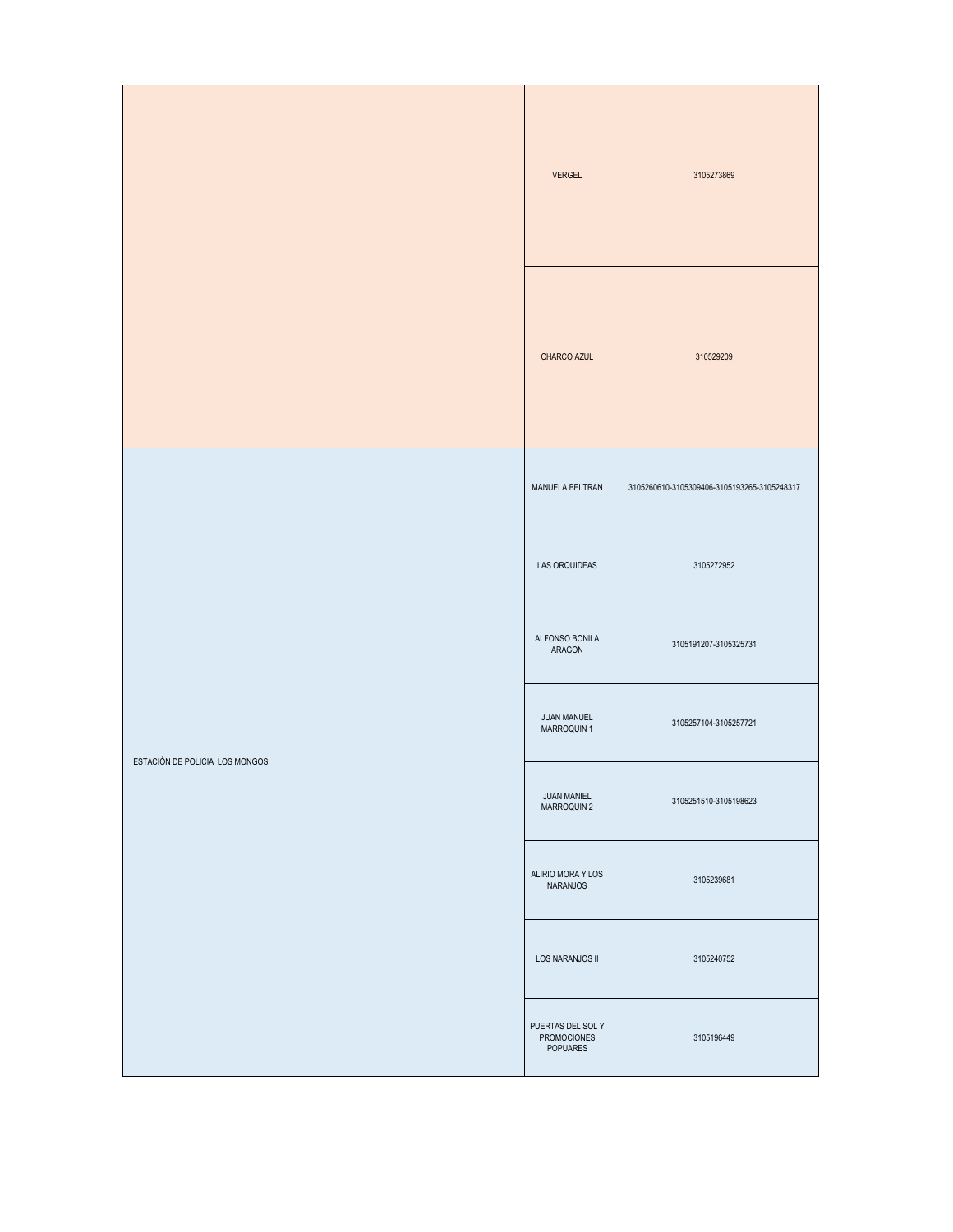|                                |  | <b>VERGEL</b>                                | 3105273869                                  |
|--------------------------------|--|----------------------------------------------|---------------------------------------------|
|                                |  | CHARCO AZUL                                  | 310529209                                   |
|                                |  | MANUELA BELTRAN                              | 3105260610-3105309406-3105193265-3105248317 |
|                                |  | LAS ORQUIDEAS                                | 3105272952                                  |
|                                |  | ALFONSO BONILA<br>ARAGON                     | 3105191207-3105325731                       |
| ESTACIÓN DE POLICIA LOS MONGOS |  | JUAN MANUEL<br>MARROQUIN 1                   | 3105257104-3105257721                       |
|                                |  | JUAN MANIEL<br>MARROQUIN 2                   | 3105251510-3105198623                       |
|                                |  | ALIRIO MORA Y LOS<br>NARANJOS                | 3105239681                                  |
|                                |  | LOS NARANJOS II                              | 3105240752                                  |
|                                |  | PUERTAS DEL SOL Y<br>PROMOCIONES<br>POPUARES | 3105196449                                  |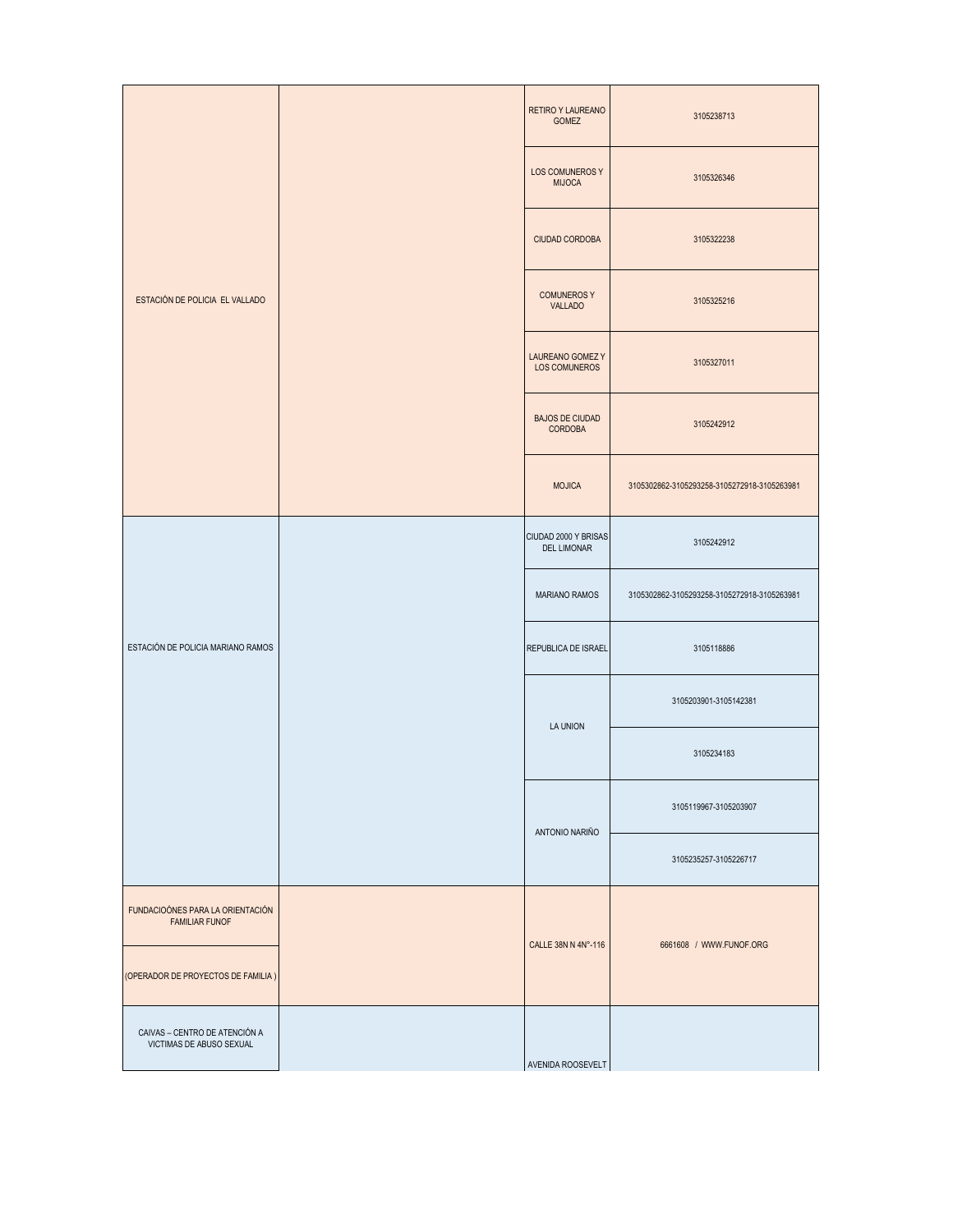| ESTACIÓN DE POLICIA EL VALLADO                            |  | <b>RETIRO Y LAUREANO</b><br>GOMEZ          | 3105238713                                  |
|-----------------------------------------------------------|--|--------------------------------------------|---------------------------------------------|
|                                                           |  | LOS COMUNEROS Y<br><b>MIJOCA</b>           | 3105326346                                  |
|                                                           |  | CIUDAD CORDOBA                             | 3105322238                                  |
|                                                           |  | <b>COMUNEROSY</b><br><b>VALLADO</b>        | 3105325216                                  |
|                                                           |  | LAUREANO GOMEZ Y<br>LOS COMUNEROS          | 3105327011                                  |
|                                                           |  | <b>BAJOS DE CIUDAD</b><br><b>CORDOBA</b>   | 3105242912                                  |
|                                                           |  | <b>MOJICA</b>                              | 3105302862-3105293258-3105272918-3105263981 |
| ESTACIÓN DE POLICIA MARIANO RAMOS                         |  | CIUDAD 2000 Y BRISAS<br><b>DEL LIMONAR</b> | 3105242912                                  |
|                                                           |  | MARIANO RAMOS                              | 3105302862-3105293258-3105272918-3105263981 |
|                                                           |  | REPUBLICA DE ISRAEL                        | 3105118886                                  |
|                                                           |  | LA UNION                                   | 3105203901-3105142381                       |
|                                                           |  |                                            | 3105234183                                  |
|                                                           |  | ANTONIO NARIÑO                             | 3105119967-3105203907                       |
|                                                           |  |                                            | 3105235257-3105226717                       |
| FUNDACIOÓNES PARA LA ORIENTACIÓN<br><b>FAMILIAR FUNOF</b> |  | CALLE 38N N 4N°-116                        | 6661608 / WWW.FUNOF.ORG                     |
| (OPERADOR DE PROYECTOS DE FAMILIA)                        |  |                                            |                                             |
| CAIVAS - CENTRO DE ATENCIÓN A<br>VICTIMAS DE ABUSO SEXUAL |  | AVENIDA ROOSEVELT                          |                                             |